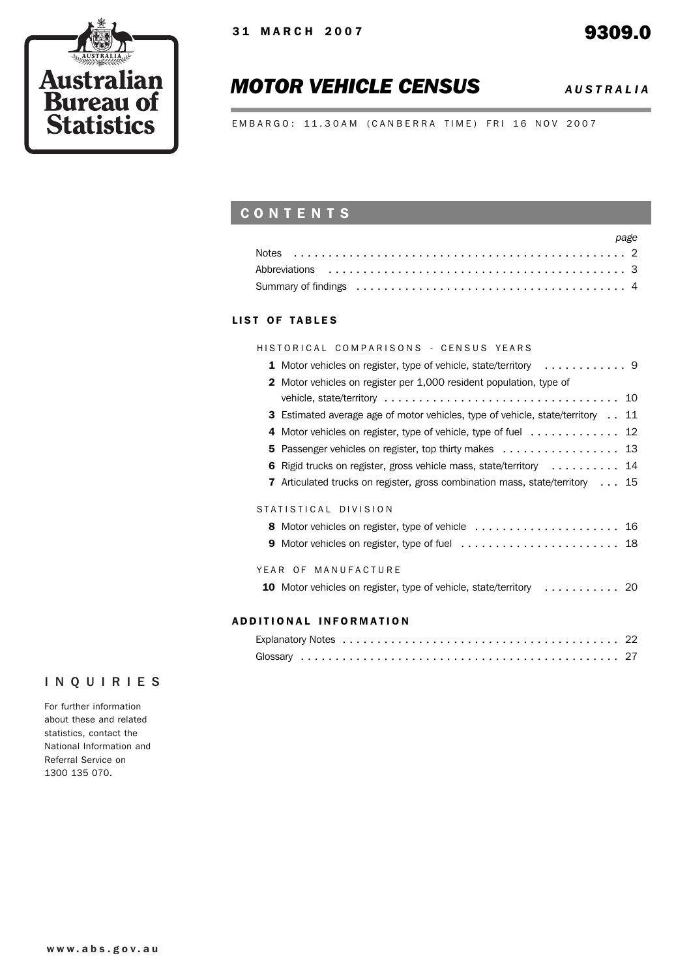

# *MOTOR VEHICLE CENSUS AUSTRALIA*

EMBARGO: 11.30AM (CANBERRA TIME) FRI 16 NOV 2007

# CONTENTS

| page |
|------|
|      |
|      |
|      |

### LIST OF TABLES

| HISTORICAL COMPARISONS - CENSUS YEARS                                                        |
|----------------------------------------------------------------------------------------------|
|                                                                                              |
| 2 Motor vehicles on register per 1,000 resident population, type of                          |
|                                                                                              |
| <b>3</b> Estimated average age of motor vehicles, type of vehicle, state/territory 11        |
| 4 Motor vehicles on register, type of vehicle, type of fuel 12                               |
| 5 Passenger vehicles on register, top thirty makes 13                                        |
| 6 Rigid trucks on register, gross vehicle mass, state/territory 14                           |
| <b>7</b> Articulated trucks on register, gross combination mass, state/territory $\ldots$ 15 |
| STATISTICAL DIVISION                                                                         |
|                                                                                              |
|                                                                                              |
| YEAR OF MANUFACTURE                                                                          |
| 10 Motor vehicles on register, type of vehicle, state/territory  20                          |
| ADDITIONAL INFORMATION                                                                       |

# Explanatory Notes ........................................ 22

## INQUIRIES

For further information about these and related statistics, contact the National Information and Referral Service on 1300 135 070.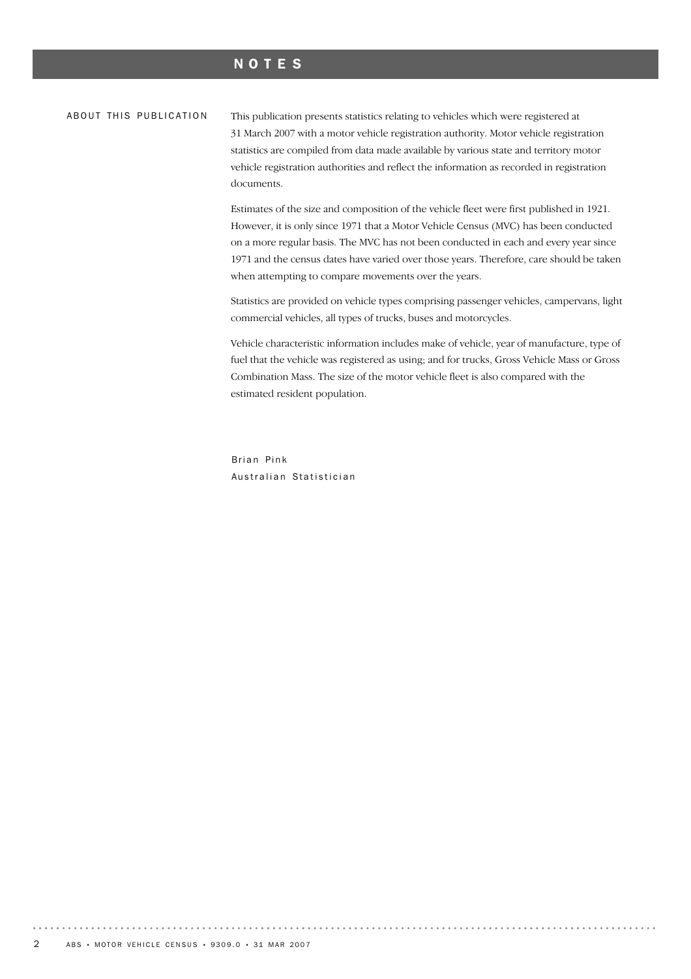## NOTES

#### ABOUT THIS PUBLICATION

This publication presents statistics relating to vehicles which were registered at 31 March 2007 with a motor vehicle registration authority. Motor vehicle registration statistics are compiled from data made available by various state and territory motor vehicle registration authorities and reflect the information as recorded in registration documents.

Estimates of the size and composition of the vehicle fleet were first published in 1921. However, it is only since 1971 that a Motor Vehicle Census (MVC) has been conducted on a more regular basis. The MVC has not been conducted in each and every year since 1971 and the census dates have varied over those years. Therefore, care should be taken when attempting to compare movements over the years.

Statistics are provided on vehicle types comprising passenger vehicles, campervans, light commercial vehicles, all types of trucks, buses and motorcycles.

Vehicle characteristic information includes make of vehicle, year of manufacture, type of fuel that the vehicle was registered as using; and for trucks, Gross Vehicle Mass or Gross Combination Mass. The size of the motor vehicle fleet is also compared with the estimated resident population.

Brian Pink Australian Statistician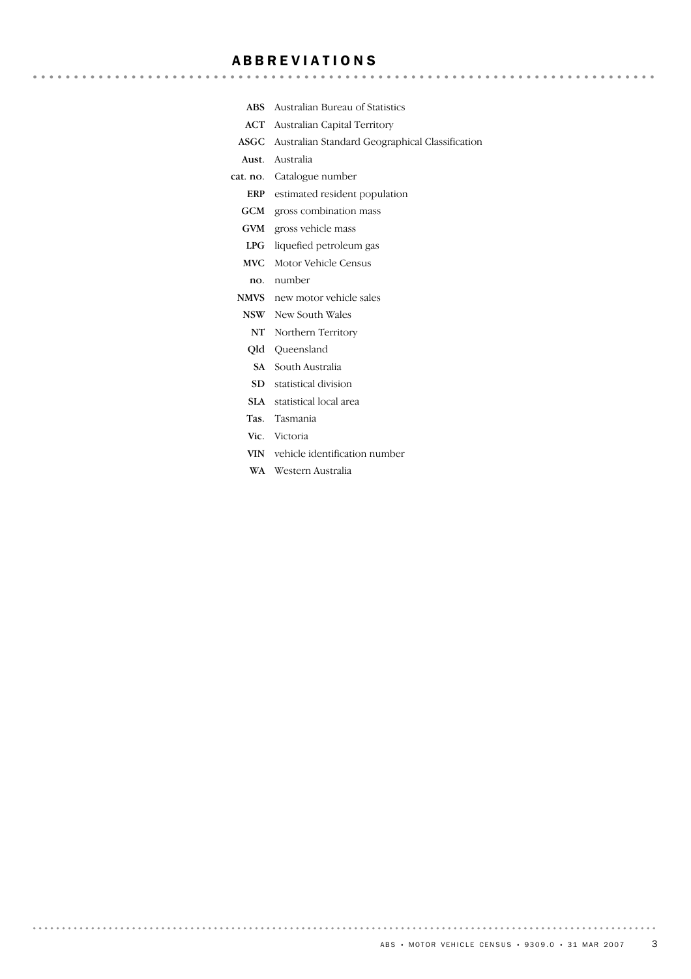## ABBREVIATIONS

- ABS Australian Bureau of Statistics
- ACT Australian Capital Territory
- ASGC Australian Standard Geographical Classification

Aust. Australia

 $\sim$   $\sim$ 

- cat. no. Catalogue number
	- ERP estimated resident population
	- GCM gross combination mass
	- GVM gross vehicle mass
	- LPG liquefied petroleum gas
	- MVC Motor Vehicle Census
	- no. number
	- NMVS new motor vehicle sales
	- NSW New South Wales
	- NT Northern Territory
	- Qld Queensland
	- SA South Australia
	- SD statistical division
	- SLA statistical local area
	- Tas. Tasmania
	- Vic. Victoria
	- VIN vehicle identification number
	- WA Western Australia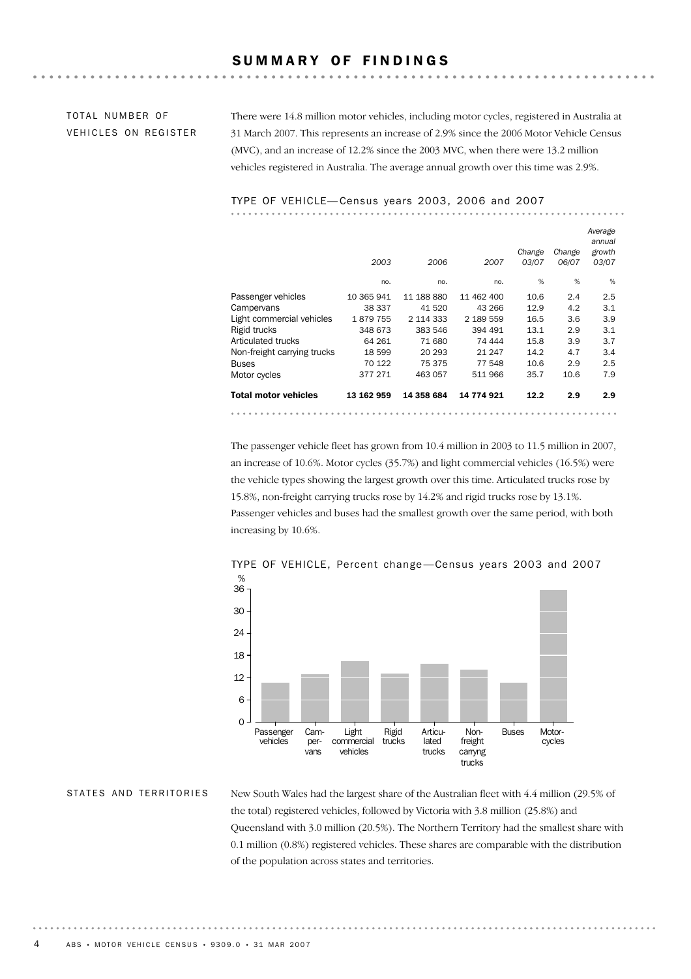## SUMMARY OF FINDINGS

## TOTAL NUMBER OF VEHICLES ON REGISTER

There were 14.8 million motor vehicles, including motor cycles, registered in Australia at 31 March 2007. This represents an increase of 2.9% since the 2006 Motor Vehicle Census (MVC), and an increase of 12.2% since the 2003 MVC, when there were 13.2 million vehicles registered in Australia. The average annual growth over this time was 2.9%.

#### TYPE OF VEHICLE— Census years 2003, 2006 and 2007

|                             | 2003       | 2006       | 2007       | Change<br>03/07 | Change<br>06/07 | Average<br>annual<br>growth<br>03/07 |
|-----------------------------|------------|------------|------------|-----------------|-----------------|--------------------------------------|
|                             | no.        | no.        | no.        | %               | %               | %                                    |
| Passenger vehicles          | 10 365 941 | 11 188 880 | 11 462 400 | 10.6            | 2.4             | 2.5                                  |
| Campervans                  | 38 337     | 41 520     | 43 266     | 12.9            | 4.2             | 3.1                                  |
| Light commercial vehicles   | 1879755    | 2 114 333  | 2 189 559  | 16.5            | 3.6             | 3.9                                  |
| Rigid trucks                | 348 673    | 383 546    | 394 491    | 13.1            | 2.9             | 3.1                                  |
| Articulated trucks          | 64 261     | 71 680     | 74 444     | 15.8            | 3.9             | 3.7                                  |
| Non-freight carrying trucks | 18 599     | 20 29 3    | 21 247     | 14.2            | 4.7             | 3.4                                  |
| <b>Buses</b>                | 70 122     | 75 375     | 77 548     | 10.6            | 2.9             | 2.5                                  |
| Motor cycles                | 377 271    | 463 057    | 511966     | 35.7            | 10.6            | 7.9                                  |
| <b>Total motor vehicles</b> | 13 162 959 | 14 358 684 | 14 774 921 | 12.2            | 2.9             | 2.9                                  |
|                             |            |            |            |                 |                 |                                      |

The passenger vehicle fleet has grown from 10.4 million in 2003 to 11.5 million in 2007, an increase of 10.6%. Motor cycles (35.7%) and light commercial vehicles (16.5%) were the vehicle types showing the largest growth over this time. Articulated trucks rose by 15.8%, non-freight carrying trucks rose by 14.2% and rigid trucks rose by 13.1%. Passenger vehicles and buses had the smallest growth over the same period, with both increasing by 10.6%.



TYPE OF VEHICLE, Percent change —Census years 2003 and 2007

New South Wales had the largest share of the Australian fleet with 4.4 million (29.5% of the total) registered vehicles, followed by Victoria with 3.8 million (25.8%) and Queensland with 3.0 million (20.5%). The Northern Territory had the smallest share with 0.1 million (0.8%) registered vehicles. These shares are comparable with the distribution of the population across states and territories.

STATES AND TERRITORIES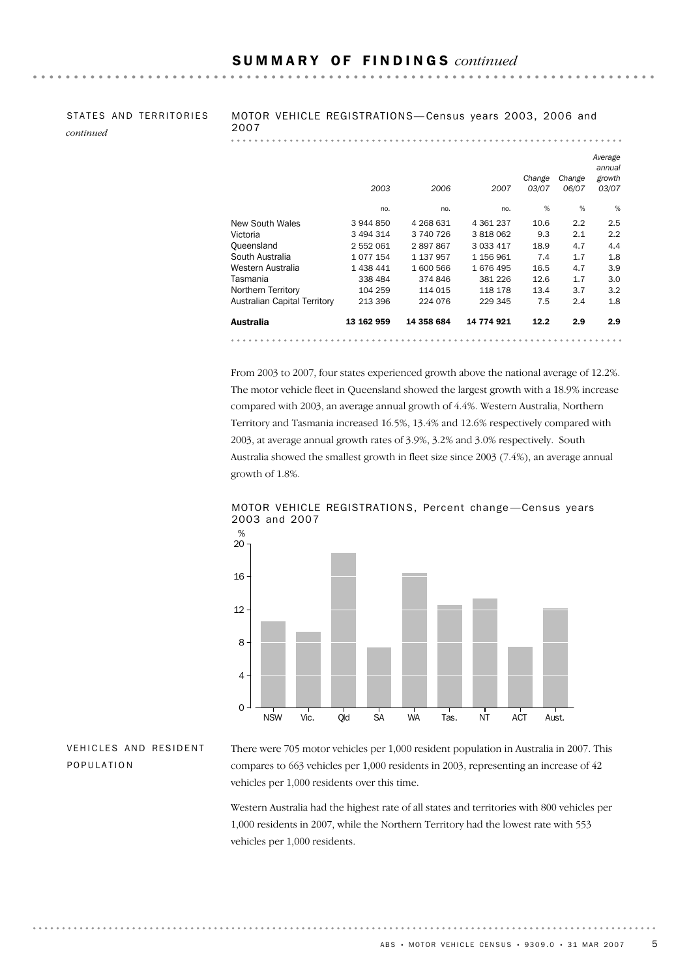|           | STATES AND TERRITORIES |
|-----------|------------------------|
| continued |                        |

MOTOR VEHICLE REGISTRATIONS— Census years 2003, 2006 and 2007

 $\mathbf{A} = \mathbf{A} + \mathbf{A} + \mathbf{A} + \mathbf{A} + \mathbf{A} + \mathbf{A} + \mathbf{A} + \mathbf{A} + \mathbf{A} + \mathbf{A} + \mathbf{A} + \mathbf{A} + \mathbf{A} + \mathbf{A} + \mathbf{A} + \mathbf{A} + \mathbf{A} + \mathbf{A} + \mathbf{A} + \mathbf{A} + \mathbf{A} + \mathbf{A} + \mathbf{A} + \mathbf{A} + \mathbf{A} + \mathbf{A} + \mathbf{A} + \mathbf{A} + \mathbf{A} + \mathbf{A} + \mathbf$ 

|                              | 2003       | 2006       | 2007          | Change<br>03/07 | Change<br>06/07 | Average<br>annual<br>growth<br>03/07 |
|------------------------------|------------|------------|---------------|-----------------|-----------------|--------------------------------------|
|                              | no.        | no.        | no.           | %               | %               | %                                    |
| New South Wales              | 3 944 850  | 4 268 631  | 4 3 6 1 2 3 7 | 10.6            | 2.2             | 2.5                                  |
| Victoria                     | 3 494 314  | 3 740 726  | 3818062       | 9.3             | 2.1             | 2.2                                  |
| Oueensland                   | 2 552 061  | 2897867    | 3 0 3 4 1 7   | 18.9            | 4.7             | 4.4                                  |
| South Australia              | 1077154    | 1 137 957  | 1 156 961     | 7.4             | 1.7             | 1.8                                  |
| Western Australia            | 1 438 441  | 1 600 566  | 1676495       | 16.5            | 4.7             | 3.9                                  |
| Tasmania                     | 338 484    | 374 846    | 381 226       | 12.6            | 1.7             | 3.0                                  |
| Northern Territory           | 104 259    | 114 015    | 118 178       | 13.4            | 3.7             | 3.2                                  |
| Australian Capital Territory | 213 396    | 224 076    | 229 345       | 7.5             | 2.4             | 1.8                                  |
| Australia                    | 13 162 959 | 14 358 684 | 14 774 921    | 12.2            | 2.9             | 2.9                                  |
|                              |            |            |               |                 |                 |                                      |

From 2003 to 2007, four states experienced growth above the national average of 12.2%. The motor vehicle fleet in Queensland showed the largest growth with a 18.9% increase compared with 2003, an average annual growth of 4.4%. Western Australia, Northern Territory and Tasmania increased 16.5%, 13.4% and 12.6% respectively compared with 2003, at average annual growth rates of 3.9%, 3.2% and 3.0% respectively. South Australia showed the smallest growth in fleet size since 2003 (7.4%), an average annual growth of 1.8%.



MOTOR VEHICLE REGISTRATIONS, Percent change —Census years 2003 and 2007

## VEHICLES AND RESIDENT POPULATION

. . . . . . . . .

There were 705 motor vehicles per 1,000 resident population in Australia in 2007. This compares to 663 vehicles per 1,000 residents in 2003, representing an increase of 42 vehicles per 1,000 residents over this time.

Western Australia had the highest rate of all states and territories with 800 vehicles per 1,000 residents in 2007, while the Northern Territory had the lowest rate with 553 vehicles per 1,000 residents.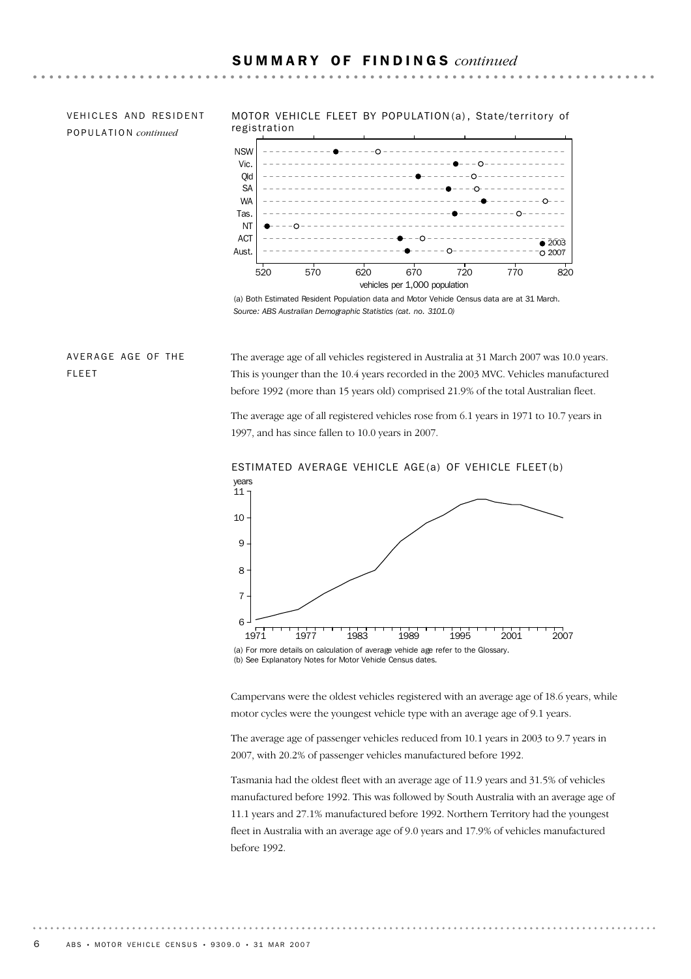VEHICLES AND RESIDENT POPULATION *continued*

MOTOR VEHICLE FLEET BY POPULATION (a) , State/territory of registration



(a) Both Estimated Resident Population data and Motor Vehicle Census data are at 31 March. *Source: ABS Australian Demographic Statistics (cat. no. 3101.0)*

## AVERAGE AGE OF THE FLEET

The average age of all vehicles registered in Australia at 31 March 2007 was 10.0 years. This is younger than the 10.4 years recorded in the 2003 MVC. Vehicles manufactured before 1992 (more than 15 years old) comprised 21.9% of the total Australian fleet.

The average age of all registered vehicles rose from 6.1 years in 1971 to 10.7 years in 1997, and has since fallen to 10.0 years in 2007.



# ESTIMATED AVERAGE VEHICLE AGE(a) OF VEHICLE FLEET(b)

Campervans were the oldest vehicles registered with an average age of 18.6 years, while motor cycles were the youngest vehicle type with an average age of 9.1 years.

The average age of passenger vehicles reduced from 10.1 years in 2003 to 9.7 years in 2007, with 20.2% of passenger vehicles manufactured before 1992.

Tasmania had the oldest fleet with an average age of 11.9 years and 31.5% of vehicles manufactured before 1992. This was followed by South Australia with an average age of 11.1 years and 27.1% manufactured before 1992. Northern Territory had the youngest fleet in Australia with an average age of 9.0 years and 17.9% of vehicles manufactured before 1992.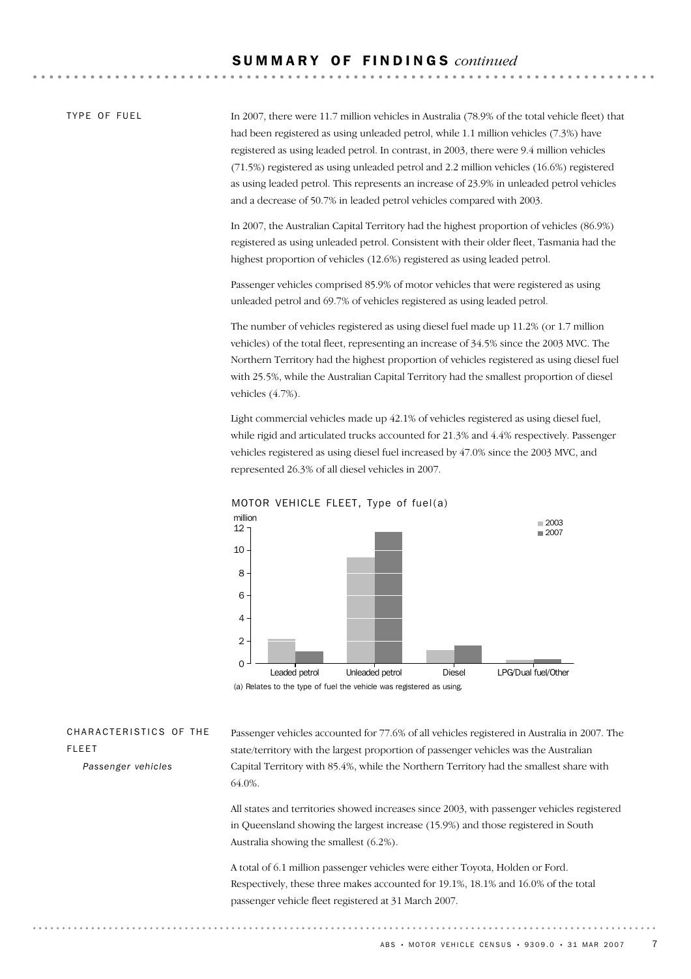TYPE OF FUFL

In 2007, there were 11.7 million vehicles in Australia (78.9% of the total vehicle fleet) that had been registered as using unleaded petrol, while 1.1 million vehicles (7.3%) have registered as using leaded petrol. In contrast, in 2003, there were 9.4 million vehicles (71.5%) registered as using unleaded petrol and 2.2 million vehicles (16.6%) registered as using leaded petrol. This represents an increase of 23.9% in unleaded petrol vehicles and a decrease of 50.7% in leaded petrol vehicles compared with 2003.

In 2007, the Australian Capital Territory had the highest proportion of vehicles (86.9%) registered as using unleaded petrol. Consistent with their older fleet, Tasmania had the highest proportion of vehicles (12.6%) registered as using leaded petrol.

Passenger vehicles comprised 85.9% of motor vehicles that were registered as using unleaded petrol and 69.7% of vehicles registered as using leaded petrol.

The number of vehicles registered as using diesel fuel made up 11.2% (or 1.7 million vehicles) of the total fleet, representing an increase of 34.5% since the 2003 MVC. The Northern Territory had the highest proportion of vehicles registered as using diesel fuel with 25.5%, while the Australian Capital Territory had the smallest proportion of diesel vehicles (4.7%).

Light commercial vehicles made up 42.1% of vehicles registered as using diesel fuel, while rigid and articulated trucks accounted for 21.3% and 4.4% respectively. Passenger vehicles registered as using diesel fuel increased by 47.0% since the 2003 MVC, and represented 26.3% of all diesel vehicles in 2007.





(a) Relates to the type of fuel the vehicle was registered as using.

CHARACTERISTICS OF THE FLEET

*Passenger vehicles*

Passenger vehicles accounted for 77.6% of all vehicles registered in Australia in 2007. The state/territory with the largest proportion of passenger vehicles was the Australian Capital Territory with 85.4%, while the Northern Territory had the smallest share with 64.0%.

All states and territories showed increases since 2003, with passenger vehicles registered in Queensland showing the largest increase (15.9%) and those registered in South Australia showing the smallest (6.2%).

A total of 6.1 million passenger vehicles were either Toyota, Holden or Ford. Respectively, these three makes accounted for 19.1%, 18.1% and 16.0% of the total passenger vehicle fleet registered at 31 March 2007.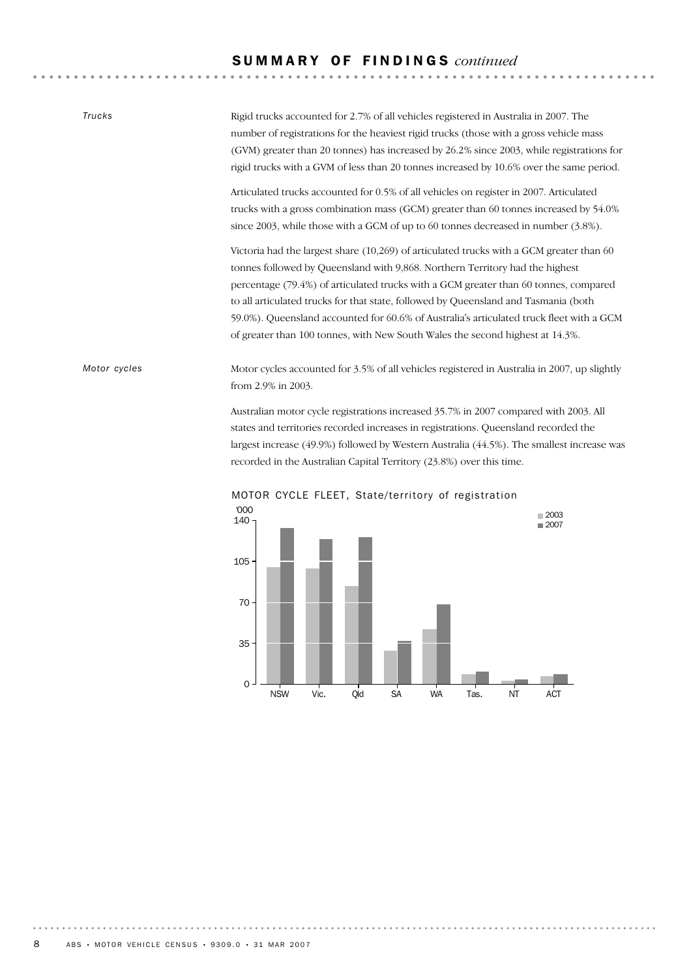## S U M M A R Y O F F I N D I N G S *continued*

**AAAAAAA** 

. . . . . . . . . . . . . . . . . .

| <b>Trucks</b> | Rigid trucks accounted for 2.7% of all vehicles registered in Australia in 2007. The<br>number of registrations for the heaviest rigid trucks (those with a gross vehicle mass<br>(GVM) greater than 20 tonnes) has increased by 26.2% since 2003, while registrations for<br>rigid trucks with a GVM of less than 20 tonnes increased by 10.6% over the same period.                                                                                                                                                                  |
|---------------|----------------------------------------------------------------------------------------------------------------------------------------------------------------------------------------------------------------------------------------------------------------------------------------------------------------------------------------------------------------------------------------------------------------------------------------------------------------------------------------------------------------------------------------|
|               | Articulated trucks accounted for 0.5% of all vehicles on register in 2007. Articulated<br>trucks with a gross combination mass (GCM) greater than 60 tonnes increased by 54.0%<br>since 2003, while those with a GCM of up to 60 tonnes decreased in number (3.8%).                                                                                                                                                                                                                                                                    |
|               | Victoria had the largest share $(10,269)$ of articulated trucks with a GCM greater than 60<br>tonnes followed by Queensland with 9,868. Northern Territory had the highest<br>percentage (79.4%) of articulated trucks with a GCM greater than 60 tonnes, compared<br>to all articulated trucks for that state, followed by Queensland and Tasmania (both<br>59.0%). Queensland accounted for 60.6% of Australia's articulated truck fleet with a GCM<br>of greater than 100 tonnes, with New South Wales the second highest at 14.3%. |
| Motor cycles  | Motor cycles accounted for 3.5% of all vehicles registered in Australia in 2007, up slightly<br>from 2.9% in 2003.                                                                                                                                                                                                                                                                                                                                                                                                                     |
|               | Australian motor cycle registrations increased 35.7% in 2007 compared with 2003. All<br>states and territories recorded increases in registrations. Queensland recorded the<br>largest increase (49.9%) followed by Western Australia (44.5%). The smallest increase was                                                                                                                                                                                                                                                               |



MOTOR CYCLE FLEET, State/territory of registration

recorded in the Australian Capital Territory (23.8%) over this time.

.........................

 $\alpha$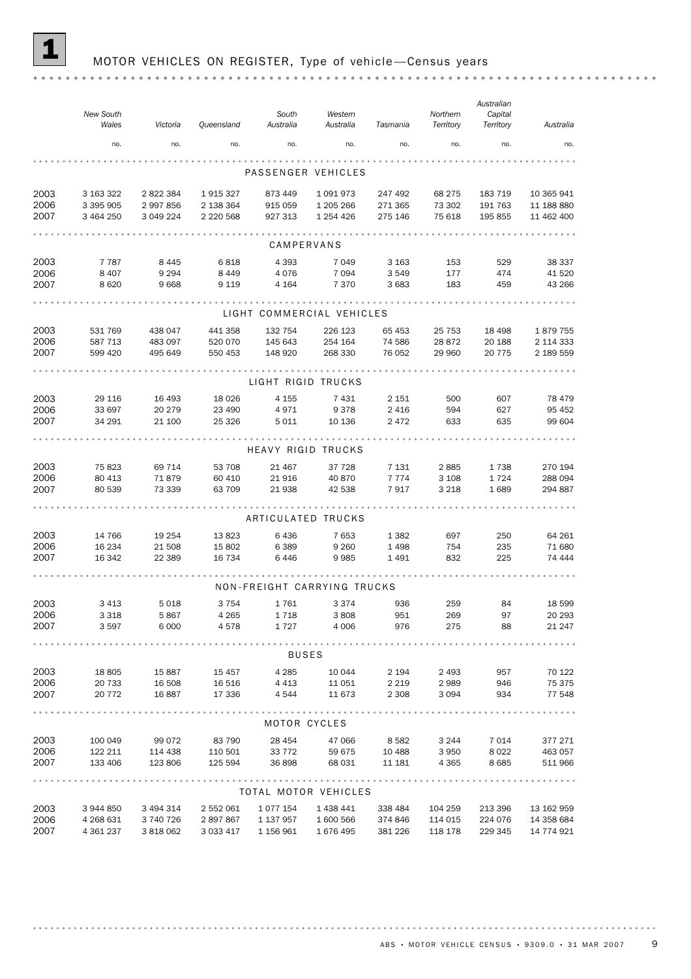## MOTOR VEHICLES ON REGISTER, Type of vehicle-Census years

|      | New South<br>Wales | Victoria  | Queensland    | South<br>Australia | Western<br>Australia | Tasmania | Northern<br>Territory | Australian<br>Capital<br>Territory | Australia  |  |
|------|--------------------|-----------|---------------|--------------------|----------------------|----------|-----------------------|------------------------------------|------------|--|
|      | no.                | no.       | no.           | no.                | no.                  | no.      | no.                   | no.                                | no.        |  |
|      |                    |           |               |                    |                      |          |                       |                                    |            |  |
|      |                    |           |               |                    | PASSENGER VEHICLES   |          |                       |                                    |            |  |
| 2003 | 3 163 322          | 2 822 384 | 1915327       | 873 449            | 1091973              | 247 492  | 68 275                | 183 719                            | 10 365 941 |  |
| 2006 | 3 395 905          | 2 997 856 | 2 138 364     | 915 059            | 1 205 266            | 271 365  | 73 302                | 191 763                            | 11 188 880 |  |
| 2007 | 3 464 250          | 3 049 224 | 2 2 2 0 5 6 8 | 927 313            | 1 254 426            | 275 146  | 75 618                | 195 855                            | 11 462 400 |  |
|      |                    |           |               |                    |                      |          |                       |                                    |            |  |
|      |                    |           |               | CAMPERVANS         |                      |          |                       |                                    |            |  |
| 2003 | 7 7 8 7            | 8 4 4 5   | 6818          | 4 3 9 3            | 7 0 4 9              | 3 1 6 3  | 153                   | 529                                | 38 337     |  |

 $\ddot{\phantom{a}}$ 

 $\bar{ }$ 

| 2006<br>2007 | 8 4 0 7<br>8620 | 9 2 9 4<br>9668 | 8449<br>9 1 1 9 | 4 0 7 6<br>4 1 6 4 | 7 0 9 4<br>7 3 7 0          | 3 5 4 9<br>3 6 8 3 | 177<br>183 | 474<br>459 | 41 520<br>43 266 |
|--------------|-----------------|-----------------|-----------------|--------------------|-----------------------------|--------------------|------------|------------|------------------|
|              |                 |                 |                 |                    |                             |                    |            |            |                  |
|              |                 |                 |                 |                    | LIGHT COMMERCIAL VEHICLES   |                    |            |            |                  |
| 2003         | 531 769         | 438 047         | 441 358         | 132 754            | 226 123                     | 65 453             | 25 7 53    | 18 4 98    | 1879755          |
| 2006         | 587 713         | 483 097         | 520 070         | 145 643            | 254 164                     | 74 586             | 28 872     | 20 188     | 2 114 333        |
| 2007         | 599 420         | 495 649         | 550 453         | 148 920            | 268 330                     | 76 052             | 29 960     | 20 775     | 2 189 559        |
|              |                 |                 |                 |                    |                             |                    |            |            |                  |
|              |                 |                 |                 | LIGHT RIGID TRUCKS |                             |                    |            |            |                  |
| 2003         | 29 116          | 16 4 93         | 18 0 26         | 4 1 5 5            | 7431                        | 2 1 5 1            | 500        | 607        | 78 479           |
| 2006         | 33 697          | 20 279          | 23 490          | 4971               | 9378                        | 2 4 1 6            | 594        | 627        | 95 452           |
| 2007         | 34 291          | 21 100          | 25 3 26         | 5 0 1 1            | 10 136                      | 2472               | 633        | 635        | 99 604           |
|              |                 |                 |                 |                    | HEAVY RIGID TRUCKS          |                    |            |            |                  |
| 2003         | 75823           | 69 714          | 53 708          | 21 467             | 37 728                      | 7 1 3 1            | 2885       | 1738       | 270 194          |
| 2006         | 80 413          | 71879           | 60 410          | 21 916             | 40 870                      | 7 7 7 4            | 3 1 0 8    | 1724       | 288 094          |
| 2007         | 80 539          | 73 339          | 63 709          | 21 938             | 42 538                      | 7917               | 3 2 1 8    | 1689       | 294 887          |
|              |                 |                 |                 |                    |                             |                    |            |            |                  |
|              |                 |                 |                 |                    | ARTICULATED TRUCKS          |                    |            |            |                  |
| 2003         | 14 766          | 19 254          | 13 823          | 6436               | 7653                        | 1 3 8 2            | 697        | 250        | 64 261           |
| 2006         | 16 234          | 21 508          | 15 802          | 6389               | 9 2 6 0                     | 1 4 9 8            | 754        | 235        | 71 680           |
| 2007         | 16 342          | 22 389          | 16 734          | 6446               | 9985                        | 1491               | 832        | 225        | 74 444           |
|              |                 |                 |                 |                    |                             |                    |            |            |                  |
|              |                 |                 |                 |                    | NON-FREIGHT CARRYING TRUCKS |                    |            |            |                  |
| 2003         | 3 4 1 3         | 5018            | 3 7 5 4         | 1761               | 3 3 7 4                     | 936                | 259        | 84         | 18 599           |
| 2006         | 3 3 1 8         | 5867            | 4 2 6 5         | 1718               | 3808                        | 951                | 269        | 97         | 20 29 3          |
| 2007         | 3597            | 6 0 0 0         | 4578            | 1727               | 4 0 0 6                     | 976                | 275        | 88         | 21 247           |
|              |                 |                 |                 |                    |                             |                    |            |            |                  |
|              |                 |                 |                 | <b>BUSES</b>       |                             |                    |            |            |                  |
| 2003         | 18 805          | 15887           | 15 457          | 4 2 8 5            | 10 044                      | 2 1 9 4            | 2 4 9 3    | 957        | 70 122           |
| 2006         | 20 733          | 16 508          | 16 516          | 4 4 1 3            | 11 051                      | 2 2 1 9            | 2989       | 946        | 75 375           |
| 2007         | 20 772          | 16887           | 17 336          | 4 5 4 4            | 11 673                      | 2 3 0 8            | 3 0 9 4    | 934        | 77 548           |
|              |                 |                 |                 | MOTOR CYCLES       |                             |                    |            |            |                  |
| 2003         | 100 049         | 99 072          | 83 790          | 28 454             | 47 066                      | 8 5 8 2            | 3 2 4 4    | 7 0 1 4    | 377 271          |
| 2006         | 122 211         | 114 438         | 110 501         | 33 772             | 59 675                      | 10 488             | 3 9 5 0    | 8 0 2 2    | 463 057          |
| 2007         | 133 406         | 123 806         | 125 594         | 36898              | 68 031                      | 11 181             | 4 3 6 5    | 8 6 8 5    | 511 966          |
|              |                 |                 |                 |                    | .                           |                    |            |            |                  |
|              |                 |                 |                 |                    | TOTAL MOTOR VEHICLES        |                    |            |            |                  |
| 2003         | 3 944 850       | 3 494 314       | 2 552 061       | 1077154            | 1 438 441                   | 338 484            | 104 259    | 213 396    | 13 162 959       |
| 2006         | 4 268 631       | 3 740 726       | 2897867         | 1 137 957          | 1 600 566                   | 374 846            | 114 015    | 224 076    | 14 358 684       |

2007 4 361 237 3 818 062 3 033 417 1 156 961 1 676 495 381 226 118 178 229 345 14 774 921

ABS • MOTOR VEHICLE CENSUS • 9309.0 • 31 MAR 2007 9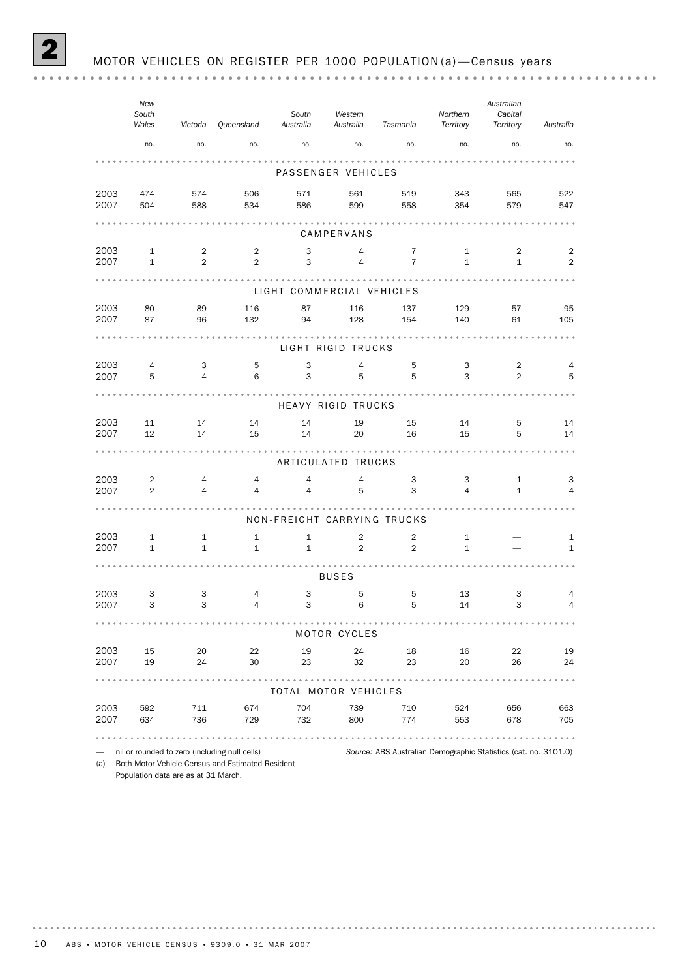*New Australian South Northern Capital Western South Victoria Queensland Australia Wales Australia Territory Tasmania Territory Australia* no. no. no. no. no. no. no. no. no. PASSENGER VEHICLES 2003 474 574 506 571 561 519 343 565 522 2007 504 588 534 586 599 558 354 579 547 CAMPERVANS 2003 1 2 2 3 4 7 1 2 2 2007 1 2 2 3 4 7 1 1 2 LIGHT COMMERCIAL VEHICLES 2003 80 89 116 87 116 137 129 57 95 2007 87 96 132 94 128 154 140 61 105 LIGHT RIGID TRUCKS

| 2003<br>2007 | $\overline{4}$<br>5 | 3<br>$\overline{4}$ | 5<br>6         | $\ensuremath{\mathsf{3}}$<br>3 | 4<br>5                      | 5<br>5         | 3<br>3         | 2<br>$\overline{2}$ | 4<br>5         |
|--------------|---------------------|---------------------|----------------|--------------------------------|-----------------------------|----------------|----------------|---------------------|----------------|
|              |                     |                     |                |                                | <b>HEAVY RIGID TRUCKS</b>   |                |                |                     |                |
|              |                     |                     |                |                                |                             |                |                |                     |                |
| 2003         | 11                  | 14                  | 14             | 14                             | 19                          | 15             | 14             | 5                   | 14             |
| 2007         | 12                  | 14                  | 15             | 14                             | 20                          | 16             | 15             | 5                   | 14             |
|              |                     |                     |                |                                | ARTICULATED TRUCKS          |                |                |                     |                |
| 2003         | $\overline{2}$      | $\overline{4}$      | $\overline{4}$ | $\overline{4}$                 | 4                           | 3              | 3              | $\mathbf{1}$        | 3              |
| 2007         | $\overline{2}$      | $\overline{4}$      | $\overline{4}$ | $\overline{4}$                 | 5                           | 3              | $\overline{4}$ | $\mathbf{1}$        | $\overline{4}$ |
|              |                     |                     |                |                                |                             |                |                |                     |                |
|              |                     |                     |                |                                | NON-FREIGHT CARRYING TRUCKS |                |                |                     |                |
| 2003         | $\mathbf{1}$        | $\mathbf{1}$        | $\mathbf{1}$   | $\mathbf{1}$                   | $\overline{2}$              | $\overline{2}$ | $\mathbf{1}$   |                     | 1              |
| 2007         | $\mathbf{1}$        | $\mathbf{1}$        | $\mathbf{1}$   | $\mathbf{1}$                   | $\overline{2}$              | $\overline{2}$ | $\mathbf{1}$   |                     | $\mathbf{1}$   |
|              |                     |                     |                |                                |                             |                |                |                     |                |
|              |                     |                     |                |                                | <b>BUSES</b>                |                |                |                     |                |
| 2003         | 3                   | 3                   | $\overline{4}$ | 3                              | 5                           | 5              | 13             | 3                   | 4              |
| 2007         | 3                   | 3                   | $\overline{4}$ | 3                              | 6                           | 5              | 14             | 3                   | $\overline{4}$ |
|              |                     |                     |                |                                | MOTOR CYCLES                |                |                |                     |                |
|              |                     |                     |                |                                |                             |                |                |                     |                |
| 2003         | 15                  | 20                  | 22             | 19                             | 24                          | 18             | 16             | 22                  | 19             |
| 2007         | 19                  | 24                  | 30             | 23                             | 32                          | 23             | 20             | 26                  | 24             |
|              |                     |                     |                |                                |                             |                |                |                     |                |
|              |                     |                     |                |                                | TOTAL MOTOR VEHICLES        |                |                |                     |                |
| 2003         | 592                 | 711                 | 674            | 704                            | 739                         | 710            | 524            | 656                 | 663            |
| 2007         | 634                 | 736                 | 729            | 732                            | 800                         | 774            | 553            | 678                 | 705            |
|              |                     |                     |                |                                |                             |                |                |                     |                |
|              |                     |                     |                |                                |                             |                |                |                     |                |

— nil or rounded to zero (including null cells) *Source:* ABS Australian Demographic Statistics (cat. no. 3101.0) (a) Both Motor Vehicle Census and Estimated Resident

Population data are as at 31 March.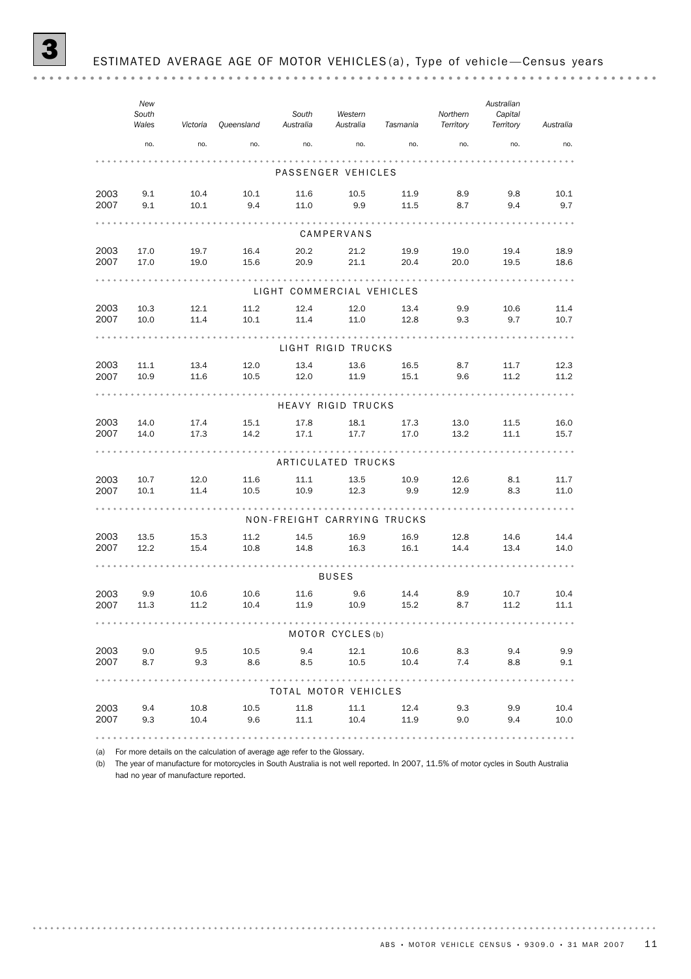|              | New<br>South<br>Wales | Victoria     | Queensland   | South<br>Australia          | Western<br>Australia | Tasmania     | Northern<br>Territory | Australian<br>Capital<br>Territory | Australia    |
|--------------|-----------------------|--------------|--------------|-----------------------------|----------------------|--------------|-----------------------|------------------------------------|--------------|
|              | no.                   | no.          | no.          | no.                         | no.                  | no.          | no.                   | no.                                | no.          |
|              |                       |              |              |                             | PASSENGER VEHICLES   |              |                       |                                    |              |
| 2003<br>2007 | 9.1<br>9.1            | 10.4<br>10.1 | 10.1<br>9.4  | 11.6<br>11.0                | 10.5<br>9.9          | 11.9<br>11.5 | 8.9<br>8.7            | 9.8<br>9.4                         | 10.1<br>9.7  |
|              |                       |              |              |                             | CAMPERVANS           |              |                       |                                    |              |
| 2003<br>2007 | 17.0<br>17.0          | 19.7<br>19.0 | 16.4<br>15.6 | 20.2<br>20.9                | 21.2<br>21.1         | 19.9<br>20.4 | 19.0<br>20.0          | 19.4<br>19.5                       | 18.9<br>18.6 |
|              |                       |              |              | LIGHT COMMERCIAL VEHICLES   |                      |              |                       |                                    |              |
| 2003         | 10.3                  | 12.1         | 11.2         | 12.4                        | 12.0                 | 13.4         | 9.9                   | 10.6                               | 11.4         |
| 2007         | 10.0                  | 11.4         | 10.1         | 11.4                        | 11.0                 | 12.8         | 9.3                   | 9.7                                | 10.7         |
|              |                       |              |              |                             | LIGHT RIGID TRUCKS   |              |                       |                                    |              |
| 2003         | 11.1                  | 13.4         | 12.0         | 13.4                        | 13.6                 | 16.5         | 8.7                   | 11.7                               | 12.3         |
| 2007         | 10.9                  | 11.6         | 10.5         | 12.0<br>.                   | 11.9                 | 15.1         | 9.6                   | 11.2                               | 11.2         |
|              |                       |              |              |                             | HEAVY RIGID TRUCKS   |              |                       |                                    |              |
| 2003<br>2007 | 14.0<br>14.0          | 17.4<br>17.3 | 15.1<br>14.2 | 17.8<br>17.1                | 18.1<br>17.7         | 17.3<br>17.0 | 13.0<br>13.2          | 11.5<br>11.1                       | 16.0<br>15.7 |
|              |                       |              |              |                             |                      |              |                       |                                    |              |
|              |                       |              |              |                             | ARTICULATED TRUCKS   |              |                       |                                    |              |
| 2003<br>2007 | 10.7<br>10.1          | 12.0<br>11.4 | 11.6<br>10.5 | 11.1<br>10.9                | 13.5<br>12.3         | 10.9<br>9.9  | 12.6<br>12.9          | 8.1<br>8.3                         | 11.7<br>11.0 |
|              |                       |              |              | NON-FREIGHT CARRYING TRUCKS |                      |              |                       |                                    |              |
| 2003         | 13.5                  | 15.3         | 11.2         | 14.5                        | 16.9                 | 16.9         | 12.8                  | 14.6                               | 14.4         |
| 2007         | 12.2                  | 15.4         | 10.8         | 14.8                        | 16.3                 | 16.1         | 14.4                  | 13.4                               | 14.0         |
|              |                       |              |              |                             | <b>BUSES</b>         |              |                       |                                    |              |
| 2003<br>2007 | 9.9<br>11.3           | 10.6<br>11.2 | 10.6<br>10.4 | 11.6<br>11.9                | 9.6<br>10.9          | 14.4<br>15.2 | 8.9<br>8.7            | 10.7<br>11.2                       | 10.4<br>11.1 |
|              |                       |              |              |                             | MOTOR CYCLES (b)     |              |                       |                                    |              |
| 2003<br>2007 | 9.0<br>8.7            | 9.5<br>9.3   | 10.5<br>8.6  | 9.4<br>8.5                  | 12.1<br>10.5         | 10.6<br>10.4 | 8.3<br>7.4            | 9.4<br>8.8                         | 9.9<br>9.1   |
|              |                       |              |              | TOTAL MOTOR VEHICLES        | .                    |              |                       |                                    |              |
| 2003<br>2007 | 9.4<br>9.3            | 10.8<br>10.4 | 10.5<br>9.6  | 11.8<br>11.1                | 11.1<br>10.4         | 12.4<br>11.9 | 9.3<br>9.0            | 9.9<br>9.4                         | 10.4<br>10.0 |
|              |                       |              |              |                             |                      |              |                       |                                    |              |

(a) For more details on the calculation of average age refer to the Glossary.

(b) The year of manufacture for motorcycles in South Australia is not well reported. In 2007, 11.5% of motor cycles in South Australia had no year of manufacture reported.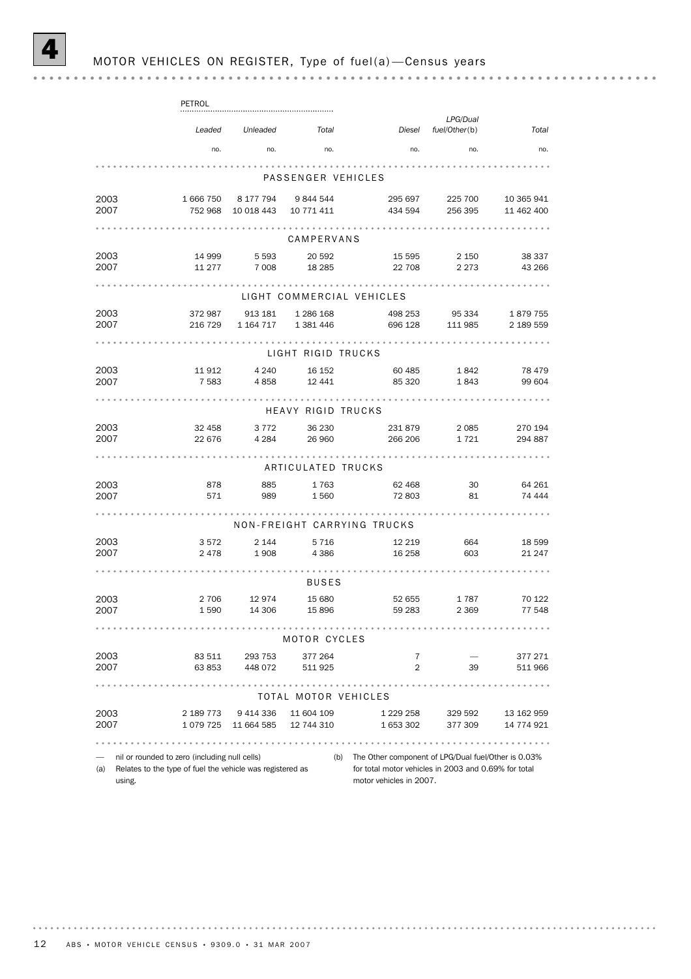(a) Relates to the type of fuel the vehicle was registered as using.

for total motor vehicles in 2003 and 0.69% for total motor vehicles in 2007.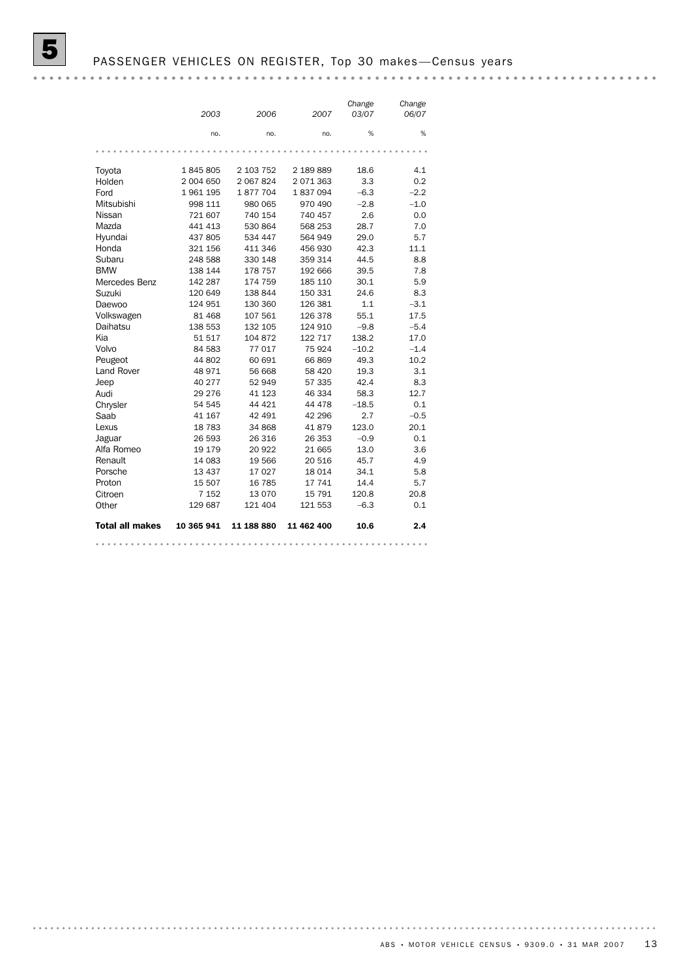|                        | 2003       | 2006       | 2007       | Change<br>03/07 | Change<br>06/07 |
|------------------------|------------|------------|------------|-----------------|-----------------|
|                        | no.        | no.        | no.        | %               | %               |
|                        |            |            |            |                 |                 |
| Toyota                 | 1845805    | 2 103 752  | 2 189 889  | 18.6            | 4.1             |
| Holden                 | 2 004 650  | 2 067 824  | 2071363    | 3.3             | 0.2             |
| Ford                   | 1961195    | 1877704    | 1837094    | $-6.3$          | $-2.2$          |
| Mitsubishi             | 998 111    | 980 065    | 970 490    | $-2.8$          | $-1.0$          |
| Nissan                 | 721 607    | 740 154    | 740 457    | 2.6             | 0.0             |
| Mazda                  | 441 413    | 530 864    | 568 253    | 28.7            | 7.0             |
| Hyundai                | 437 805    | 534 447    | 564 949    | 29.0            | 5.7             |
| Honda                  | 321 156    | 411 346    | 456 930    | 42.3            | 11.1            |
| Subaru                 | 248 588    | 330 148    | 359 314    | 44.5            | 8.8             |
| <b>BMW</b>             | 138 144    | 178 757    | 192 666    | 39.5            | 7.8             |
| Mercedes Benz          | 142 287    | 174 759    | 185 110    | 30.1            | 5.9             |
| Suzuki                 | 120 649    | 138 844    | 150 331    | 24.6            | 8.3             |
| Daewoo                 | 124 951    | 130 360    | 126 381    | 1.1             | $-3.1$          |
| Volkswagen             | 81 468     | 107 561    | 126 378    | 55.1            | 17.5            |
| Daihatsu               | 138 553    | 132 105    | 124 910    | $-9.8$          | $-5.4$          |
| Kia                    | 51517      | 104 872    | 122 717    | 138.2           | 17.0            |
| Volvo                  | 84 583     | 77017      | 75 924     | $-10.2$         | $-1.4$          |
| Peugeot                | 44 802     | 60 691     | 66869      | 49.3            | 10.2            |
| <b>Land Rover</b>      | 48 971     | 56 668     | 58 4 20    | 19.3            | 3.1             |
| Jeep                   | 40 277     | 52 949     | 57 335     | 42.4            | 8.3             |
| Audi                   | 29 276     | 41 123     | 46 334     | 58.3            | 12.7            |
| Chrysler               | 54 545     | 44 4 21    | 44 478     | $-18.5$         | 0.1             |
| Saab                   | 41 167     | 42 491     | 42 296     | 2.7             | $-0.5$          |
| Lexus                  | 18783      | 34 868     | 41879      | 123.0           | 20.1            |
| Jaguar                 | 26 593     | 26 316     | 26 353     | $-0.9$          | 0.1             |
| Alfa Romeo             | 19 179     | 20 922     | 21 665     | 13.0            | 3.6             |
| Renault                | 14 083     | 19 566     | 20 516     | 45.7            | 4.9             |
| Porsche                | 13 437     | 17027      | 18 014     | 34.1            | 5.8             |
| Proton                 | 15 507     | 16 785     | 17 741     | 14.4            | 5.7             |
| Citroen                | 7 152      | 13 0 70    | 15 791     | 120.8           | 20.8            |
| Other                  | 129 687    | 121 404    | 121 553    | $-6.3$          | 0.1             |
| <b>Total all makes</b> | 10 365 941 | 11 188 880 | 11 462 400 | 10.6            | 2.4             |
|                        |            |            |            |                 |                 |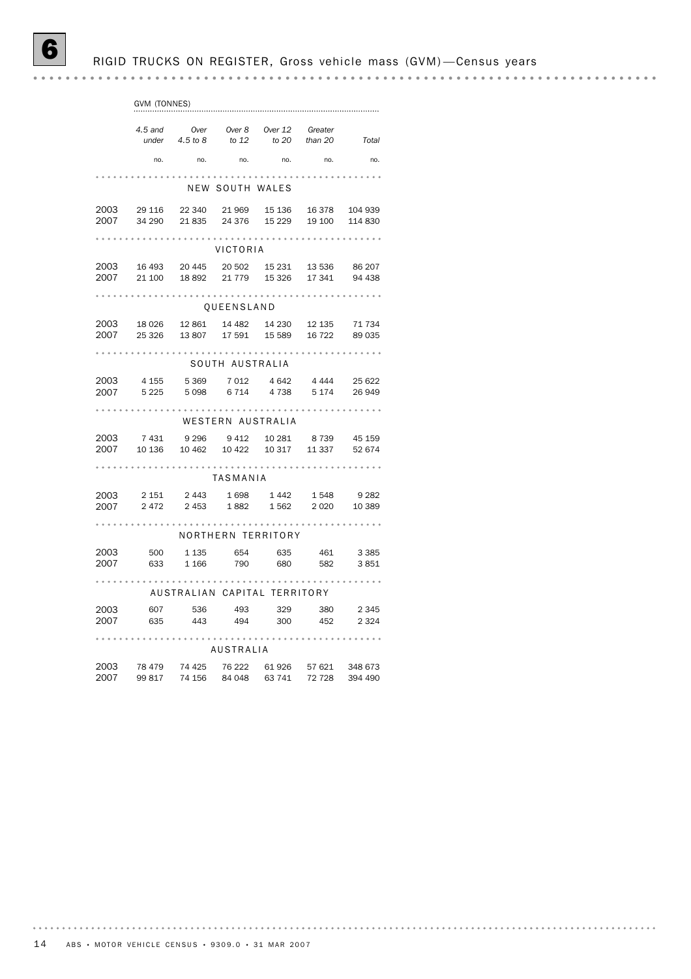|      | GVM (TONNES) |                                                                                       |                 |                             |        |         |
|------|--------------|---------------------------------------------------------------------------------------|-----------------|-----------------------------|--------|---------|
|      | 4.5 and      | under $4.5$ to $8$ to $12$ to $20$ than $20$ Total                                    |                 | Over Over 8 Over 12 Greater |        |         |
|      | no.          |                                                                                       |                 |                             | no.    | no.     |
|      |              |                                                                                       |                 |                             |        |         |
|      |              |                                                                                       | NEW SOUTH WALES |                             |        |         |
| 2003 |              | 29 116 22 340 21 969 15 136 16 378<br>2007 34 290 21 835 24 376 15 229 19 100 114 830 |                 |                             |        | 104 939 |
|      |              |                                                                                       |                 |                             |        |         |
|      |              |                                                                                       | VICTORIA        |                             |        |         |
|      |              | 2003 16 493 20 445 20 502 15 231 13 536 86 207                                        |                 |                             |        |         |
| 2007 |              | 21 100 18 892                                                                         |                 | 21 779 15 326 17 341        |        | 94 438  |
|      |              |                                                                                       | QUEENSLAND      |                             |        |         |
|      |              | 2003 18 026 12 861 14 482 14 230 12 135 71 734                                        |                 |                             |        |         |
| 2007 |              | 25 326    13 807    17 591    15 589    16 722    89 035                              |                 |                             |        |         |
|      |              |                                                                                       | SOUTH AUSTRALIA |                             |        |         |
| 2003 |              | 4 155 5 369 7 012 4 642                                                               |                 |                             | 4 444  | 25 622  |
|      |              | 2007 5225 5098 6714 4738 5174 26949                                                   |                 |                             |        |         |
|      |              |                                                                                       |                 | WESTERN AUSTRALIA           |        |         |
|      |              | 2003 7 431 9 296 9 412 10 281 8 739 45 159                                            |                 |                             |        |         |
| 2007 |              | 10 136  10 462  10 422  10 317  11 337                                                |                 |                             |        | 52 674  |
|      |              |                                                                                       | TASMANIA        |                             |        |         |
|      |              | 2003 2151 2443 1698 1442 1548 9282                                                    |                 |                             |        |         |
| 2007 |              | 2 472 2 453 1 882 1 562 2 020 10 389                                                  |                 |                             |        |         |
|      |              |                                                                                       |                 | NORTHERN TERRITORY          |        |         |
|      |              |                                                                                       |                 |                             |        |         |
|      |              | 2003 500 1 135 654 635 461 3 385<br>2007 633 1 166 790 680 582 3 851                  |                 |                             |        |         |
|      | .            | AUSTRALIAN CAPITAL TERRITORY                                                          |                 |                             |        |         |
|      |              | 2003 607 536 493 329 380 2 345<br>2007 635 443 494 300 452 2 324                      |                 |                             |        |         |
|      |              |                                                                                       |                 |                             |        |         |
|      |              |                                                                                       | AUSTRALIA       | .                           |        |         |
|      |              | 2003 78 479 74 425 76 222 61 926 57 621 348 673                                       |                 |                             |        |         |
| 2007 | 99 817       | 74 156                                                                                |                 | 84 048 63 741               | 72 728 | 394 490 |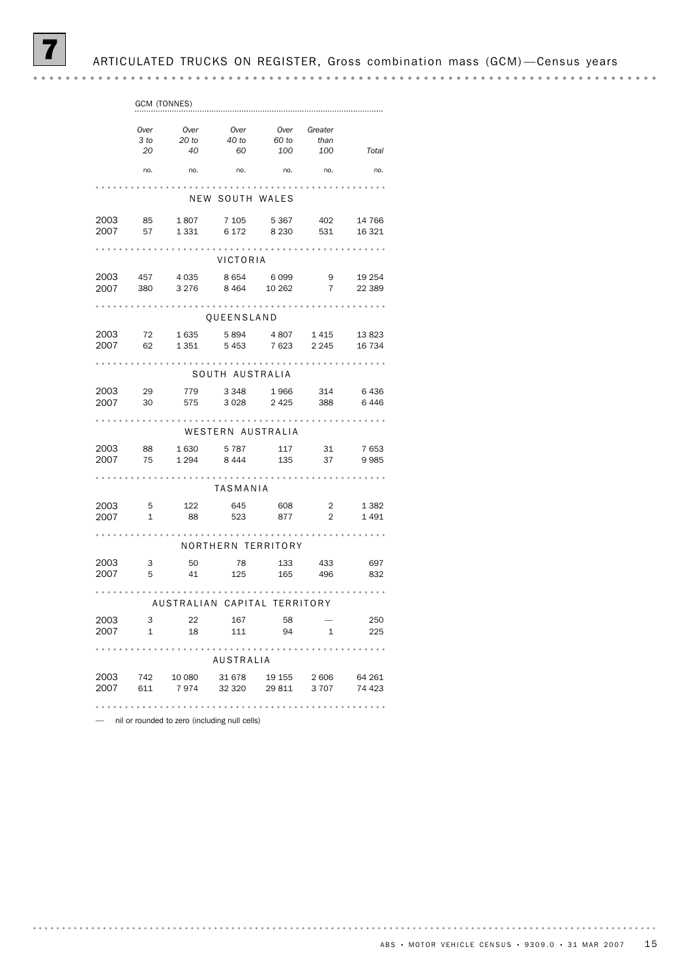ARTICULATED TRUCKS ON REGISTER, Gross combination mass (GCM)-Census years

|      |              | GCM (TONNES)                              |                              |                 |                            |         |
|------|--------------|-------------------------------------------|------------------------------|-----------------|----------------------------|---------|
|      | Over         |                                           |                              |                 | Over Greater               |         |
|      | 3 to         | Over<br>20 to                             | Over<br>40 to                | 60 to           |                            |         |
|      |              |                                           |                              |                 | than<br>60 100 100 Total   |         |
|      | 20           | 40                                        |                              |                 |                            |         |
|      |              | no. no. no. no. no. no.                   |                              |                 |                            | no.     |
|      |              |                                           |                              |                 |                            |         |
|      |              |                                           | NEW SOUTH WALES              |                 |                            |         |
|      |              | 2003 85 1807 7105 5367 402 14766          |                              |                 |                            |         |
| 2007 | 57           |                                           | 1 331 6 172 8 230 531 16 321 |                 |                            |         |
|      |              |                                           |                              |                 |                            |         |
|      |              |                                           | VICTORIA                     |                 |                            |         |
| 2003 |              | 457 4 035                                 |                              | 8 6 5 4 6 0 9 9 | 9                          | 19 254  |
|      |              |                                           |                              |                 |                            |         |
|      |              | 2007 380 3276 8464 10262 7                |                              |                 |                            | 22 3 89 |
|      |              |                                           | OUEENSLAND                   |                 |                            |         |
|      |              |                                           |                              |                 |                            |         |
|      |              | 2003 72 1635 5894 4807 1415 13823         |                              |                 |                            |         |
|      |              | 2007 62 1351 5453 7623 2245 16734         |                              |                 |                            |         |
|      |              |                                           |                              |                 |                            |         |
|      |              |                                           | SOUTH AUSTRALIA              |                 |                            |         |
| 2003 | 29           | 779                                       | 3 3 4 8                      | 1966            | 314                        | 6436    |
|      |              | 2007 30 575 3028 2425 388 6446            |                              |                 |                            |         |
|      |              |                                           |                              |                 |                            |         |
|      |              |                                           |                              |                 |                            |         |
|      |              |                                           | WESTERN AUSTRALIA            |                 |                            |         |
| 2003 |              | 88 1630 5787                              |                              | 117             | 31                         | 7653    |
|      |              | 2007 75 1294 8444 135 37 9985             |                              |                 |                            |         |
|      |              |                                           |                              |                 |                            |         |
|      |              |                                           | TASMANIA                     |                 |                            |         |
|      |              |                                           |                              |                 |                            |         |
| 2003 |              | 5 122                                     | 645                          | 608             | $\overline{\phantom{a}}$ 2 | 1 3 8 2 |
|      | 2007 1       |                                           | 88 523 877 2 1491            |                 |                            |         |
|      |              |                                           |                              |                 |                            |         |
|      |              |                                           | NORTHERN TERRITORY           |                 |                            |         |
| 2003 | $\mathbf{3}$ | 50                                        | 78                           | 133 433         |                            | 697     |
|      | 2007 5       |                                           | 41 125 165 496 832           |                 |                            |         |
|      |              |                                           |                              |                 |                            |         |
|      |              | AUSTRALIAN CAPITAL TERRITORY              |                              |                 |                            |         |
| 2003 |              |                                           |                              | 58              |                            |         |
|      | $\mathbf{3}$ | 22                                        | 167                          |                 |                            | 250     |
|      |              | 2007 1 18 111 94 1                        |                              |                 |                            | 225     |
|      |              |                                           |                              |                 |                            |         |
|      |              |                                           | AUSTRALIA                    |                 |                            |         |
| 2003 |              | 742 10 080                                | 31 678 19 155 2 606          |                 |                            | 64 261  |
|      |              | 2007 611 7 974 32 320 29 811 3 707 74 423 |                              |                 |                            |         |
|      |              |                                           |                              |                 |                            |         |
|      |              |                                           |                              |                 |                            |         |

— nil or rounded to zero (including null cells)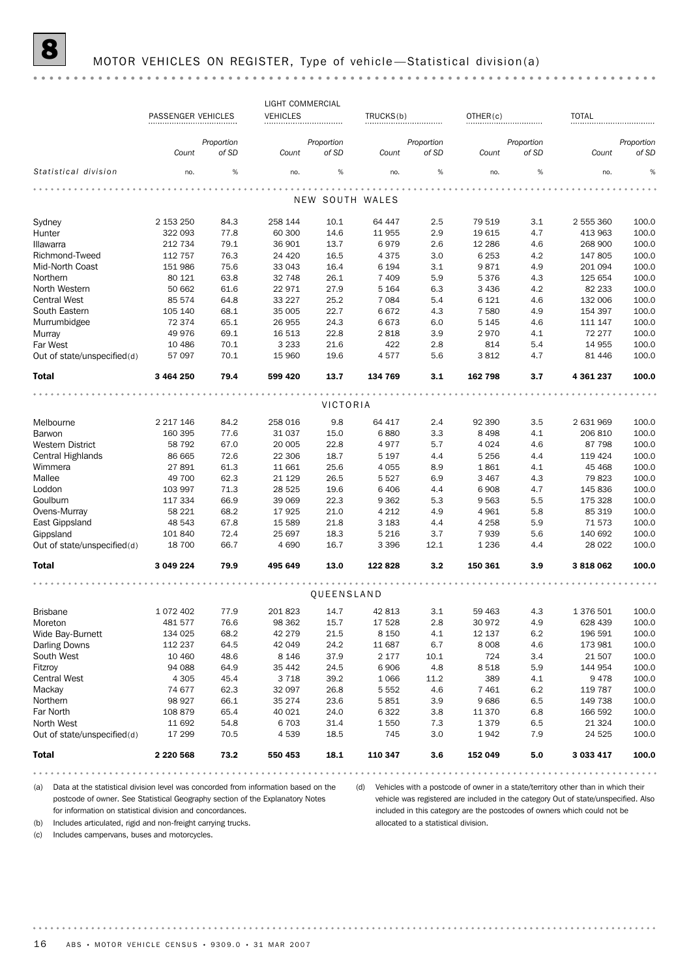## MOTOR VEHICLES ON REGISTER, Type of vehicle-Statistical division(a)

|                             |                    |            | LIGHT COMMERCIAL |            |                 |            |          |            |              |            |
|-----------------------------|--------------------|------------|------------------|------------|-----------------|------------|----------|------------|--------------|------------|
|                             | PASSENGER VEHICLES |            | <b>VEHICLES</b>  |            | TRUCKS(b)       |            | OTHER(c) |            | <b>TOTAL</b> |            |
|                             |                    | Proportion |                  | Proportion |                 | Proportion |          | Proportion |              | Proportion |
|                             | Count              | of SD      | Count            | of SD      | Count           | of SD      | Count    | of SD      | Count        | of SD      |
| Statistical division        | no.                | %          | no.              | %          | no.             | %          | no.      | %          | no.          | %          |
|                             |                    |            |                  |            |                 |            |          |            |              |            |
|                             |                    |            |                  |            | NEW SOUTH WALES |            |          |            |              |            |
| Sydney                      | 2 153 250          | 84.3       | 258 144          | 10.1       | 64 447          | 2.5        | 79 519   | 3.1        | 2 555 360    | 100.0      |
| Hunter                      | 322 093            | 77.8       | 60 300           | 14.6       | 11 955          | 2.9        | 19 615   | 4.7        | 413 963      | 100.0      |
| Illawarra                   | 212 734            | 79.1       | 36 901           | 13.7       | 6979            | 2.6        | 12 2 8 6 | 4.6        | 268 900      | 100.0      |
| Richmond-Tweed              | 112 757            | 76.3       | 24 4 20          | 16.5       | 4 3 7 5         | 3.0        | 6 2 5 3  | 4.2        | 147 805      | 100.0      |
| Mid-North Coast             | 151 986            | 75.6       | 33 043           | 16.4       | 6 1 9 4         | 3.1        | 9871     | 4.9        | 201 094      | 100.0      |
| Northern                    | 80 121             | 63.8       | 32 748           | 26.1       | 7 4 0 9         | 5.9        | 5376     | 4.3        | 125 654      | 100.0      |
| North Western               | 50 662             | 61.6       | 22971            | 27.9       | 5 1 6 4         | 6.3        | 3 4 3 6  | 4.2        | 82 233       | 100.0      |
| <b>Central West</b>         | 85 574             | 64.8       | 33 2 27          | 25.2       | 7 0 8 4         | 5.4        | 6 1 2 1  | 4.6        | 132 006      | 100.0      |
| South Eastern               | 105 140            | 68.1       | 35 005           | 22.7       | 6672            | 4.3        | 7580     | 4.9        | 154 397      | 100.0      |
| Murrumbidgee                | 72 374             | 65.1       | 26 955           | 24.3       | 6673            | 6.0        | 5 1 4 5  | 4.6        | 111 147      | 100.0      |
| Murray                      | 49 976             | 69.1       | 16 513           | 22.8       | 2818            | 3.9        | 2970     | 4.1        | 72 277       | 100.0      |
| Far West                    | 10 4 86            | 70.1       | 3 2 3 3          | 21.6       | 422             | 2.8        | 814      | 5.4        | 14 9 55      | 100.0      |
| Out of state/unspecified(d) | 57 097             | 70.1       | 15 960           | 19.6       | 4577            | 5.6        | 3812     | 4.7        | 81 446       | 100.0      |
| Total                       | 3 464 250          | 79.4       | 599 420          | 13.7       | 134 769         | 3.1        | 162 798  | 3.7        | 4 361 237    | 100.0      |
|                             |                    |            |                  | VICTORIA   |                 |            |          |            |              |            |
|                             |                    |            |                  |            |                 |            |          |            |              |            |
| Melbourne                   | 2 2 1 7 1 4 6      | 84.2       | 258 016          | 9.8        | 64 417          | 2.4        | 92 390   | 3.5        | 2 631 969    | 100.0      |
| Barwon                      | 160 395            | 77.6       | 31 037           | 15.0       | 6880            | 3.3        | 8 4 9 8  | 4.1        | 206 810      | 100.0      |
| Western District            | 58 7 9 2           | 67.0       | 20 005           | 22.8       | 4977            | 5.7        | 4 0 2 4  | 4.6        | 87 798       | 100.0      |
| Central Highlands           | 86 665             | 72.6       | 22 306           | 18.7       | 5 1 9 7         | 4.4        | 5 2 5 6  | 4.4        | 119 424      | 100.0      |
| Wimmera                     | 27891              | 61.3       | 11 661           | 25.6       | 4 0 5 5         | 8.9        | 1861     | 4.1        | 45 4 68      | 100.0      |
| Mallee                      | 49 700             | 62.3       | 21 1 29          | 26.5       | 5 5 2 7         | 6.9        | 3 4 6 7  | 4.3        | 79823        | 100.0      |
| Loddon                      | 103 997            | 71.3       | 28 5 25          | 19.6       | 6 4 0 6         | 4.4        | 6908     | 4.7        | 145 836      | 100.0      |
| Goulburn                    | 117 334            | 66.9       | 39 069           | 22.3       | 9 3 6 2         | 5.3        | 9563     | 5.5        | 175 328      | 100.0      |
| Ovens-Murray                | 58 221             | 68.2       | 17925            | 21.0       | 4 2 1 2         | 4.9        | 4 9 6 1  | 5.8        | 85 319       | 100.0      |
| East Gippsland              | 48 543             | 67.8       | 15 589           | 21.8       | 3 1 8 3         | 4.4        | 4 2 5 8  | 5.9        | 71573        | 100.0      |
| Gippsland                   | 101 840            | 72.4       | 25 697           | 18.3       | 5 2 1 6         | 3.7        | 7939     | 5.6        | 140 692      | 100.0      |
| Out of state/unspecified(d) | 18 700             | 66.7       | 4690             | 16.7       | 3 3 9 6         | 12.1       | 1 2 3 6  | 4.4        | 28 0 22      | 100.0      |
| Total                       | 3 049 224          | 79.9       | 495 649          | 13.0       | 122 828         | 3.2        | 150 361  | 3.9        | 3818062      | 100.0      |
|                             |                    |            |                  |            |                 |            |          |            |              |            |
|                             |                    |            |                  | QUEENSLAND |                 |            |          |            |              |            |
| Brisbane                    | 1 072 402          | 77.9       | 201823           | 14.7       | 42 813          | 3.1        | 59 463   | 4.3        | 1 376 501    | 100.0      |
| Moreton                     | 481 577            | 76.6       | 98 362           | 15.7       | 17 528          | 2.8        | 30 972   | 4.9        | 628 439      | 100.0      |
| Wide Bay-Burnett            | 134 025            | 68.2       | 42 279           | 21.5       | 8 1 5 0         | 4.1        | 12 137   | 6.2        | 196 591      | 100.0      |
| Darling Downs               | 112 237            | 64.5       | 42 049           | 24.2       | 11 687          | 6.7        | 8 0 0 8  | 4.6        | 173 981      | 100.0      |
| South West                  | 10 460             | 48.6       | 8 1 4 6          | 37.9       | 2 177           | 10.1       | 724      | 3.4        | 21 507       | 100.0      |
| Fitzroy                     | 94 088             | 64.9       | 35 4 42          | 24.5       | 6906            | 4.8        | 8518     | 5.9        | 144 954      | 100.0      |
| <b>Central West</b>         | 4 3 0 5            | 45.4       | 3 7 1 8          | 39.2       | 1 0 6 6         | 11.2       | 389      | 4.1        | 9478         | 100.0      |
| Mackay                      | 74 677             | 62.3       | 32 097           | 26.8       | 5 5 5 2         | 4.6        | 7 4 6 1  | 6.2        | 119 787      | 100.0      |
| Northern                    | 98 927             | 66.1       | 35 274           | 23.6       | 5851            | 3.9        | 9686     | 6.5        | 149 738      | 100.0      |
| Far North                   | 108 879            | 65.4       | 40 0 21          | 24.0       | 6 3 2 2         | 3.8        | 11 370   | 6.8        | 166 592      | 100.0      |
| North West                  | 11 692             | 54.8       | 6 7 0 3          | 31.4       | 1550            | 7.3        | 1379     | 6.5        | 21 3 24      | 100.0      |
| Out of state/unspecified(d) | 17 299             | 70.5       | 4539             | 18.5       | 745             | 3.0        | 1942     | 7.9        | 24 5 25      | 100.0      |
| <b>Total</b>                | 2 2 2 0 5 6 8      | 73.2       | 550 453          | 18.1       | 110 347         | 3.6        | 152 049  | 5.0        | 3 033 417    | 100.0      |
|                             |                    |            |                  |            |                 |            |          |            |              | .          |

(a) Data at the statistical division level was concorded from information based on the (d) Vehicles with a postcode of owner in a state/territory other than in which their postcode of owner. See Statistical Geography section of the Explanatory Notes for information on statistical division and concordances.

(b) Includes articulated, rigid and non-freight carrying trucks.

vehicle was registered are included in the category Out of state/unspecified. Also included in this category are the postcodes of owners which could not be allocated to a statistical division.

(c) Includes campervans, buses and motorcycles.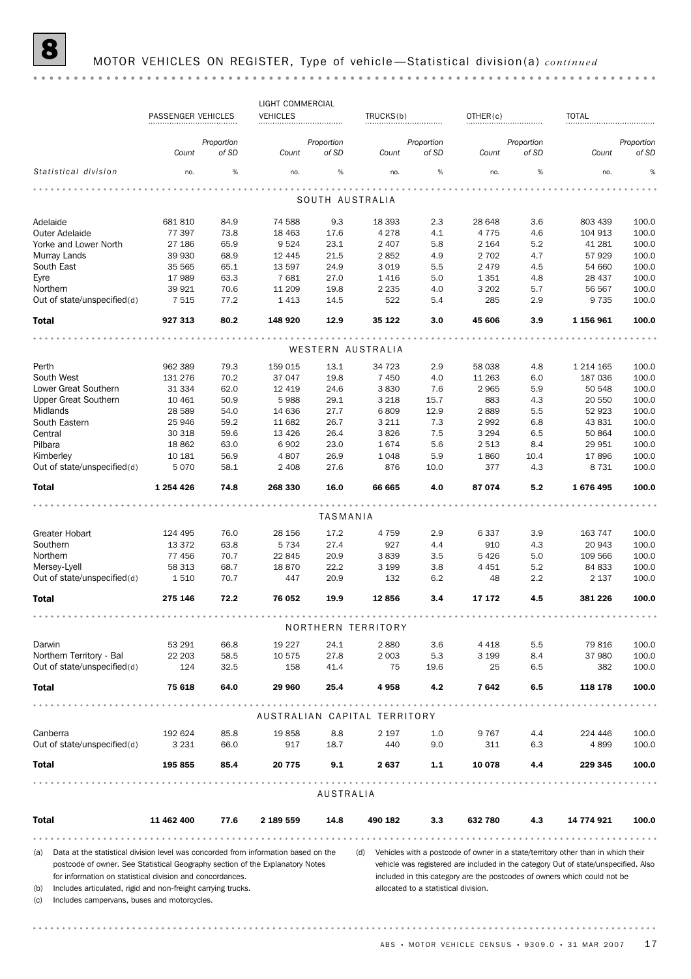|              |                                                                                    |                    |                     | LIGHT COMMERCIAL             |                     |                    |                                      |                    |                     |                                                                                      |                     |
|--------------|------------------------------------------------------------------------------------|--------------------|---------------------|------------------------------|---------------------|--------------------|--------------------------------------|--------------------|---------------------|--------------------------------------------------------------------------------------|---------------------|
|              |                                                                                    | PASSENGER VEHICLES |                     | <b>VEHICLES</b>              |                     | TRUCKS(b)          |                                      | OTHER(c)           |                     | <b>TOTAL</b>                                                                         |                     |
|              |                                                                                    |                    |                     |                              |                     |                    |                                      |                    |                     |                                                                                      |                     |
|              |                                                                                    | Count              | Proportion<br>of SD | Count                        | Proportion<br>of SD | Count              | Proportion<br>of SD                  | Count              | Proportion<br>of SD | Count                                                                                | Proportion<br>of SD |
|              | Statistical division                                                               | no.                | $\%$                | no.                          | $\%$                | no.                | $\%$                                 | no.                | $\%$                | no.                                                                                  | %                   |
|              |                                                                                    |                    |                     |                              | SOUTH AUSTRALIA     |                    |                                      |                    |                     |                                                                                      |                     |
|              |                                                                                    |                    |                     |                              |                     |                    |                                      |                    |                     |                                                                                      |                     |
| Adelaide     |                                                                                    | 681 810            | 84.9                | 74 588                       | 9.3                 | 18 3 93            | 2.3                                  | 28 648             | 3.6                 | 803 439                                                                              | 100.0               |
|              | <b>Outer Adelaide</b>                                                              | 77 397<br>27 186   | 73.8<br>65.9        | 18 4 63<br>9524              | 17.6                | 4 2 7 8<br>2 4 0 7 | 4.1<br>5.8                           | 4775               | 4.6<br>5.2          | 104 913                                                                              | 100.0<br>100.0      |
|              | Yorke and Lower North<br>Murray Lands                                              | 39 930             | 68.9                | 12 4 45                      | 23.1<br>21.5        | 2852               | 4.9                                  | 2 1 6 4<br>2 7 0 2 | 4.7                 | 41 281<br>57929                                                                      | 100.0               |
|              | South East                                                                         | 35 565             | 65.1                | 13 5 97                      | 24.9                | 3 0 1 9            | 5.5                                  | 2 4 7 9            | 4.5                 | 54 660                                                                               | 100.0               |
| Eyre         |                                                                                    | 17989              | 63.3                | 7681                         | 27.0                | 1416               | 5.0                                  | 1 3 5 1            | 4.8                 | 28 437                                                                               | 100.0               |
| Northern     |                                                                                    | 39 9 21            | 70.6                | 11 209                       | 19.8                | 2 2 3 5            | 4.0                                  | 3 2 0 2            | 5.7                 | 56 567                                                                               | 100.0               |
|              | Out of state/unspecified(d)                                                        | 7 5 1 5            | 77.2                | 1413                         | 14.5                | 522                | 5.4                                  | 285                | 2.9                 | 9 7 3 5                                                                              | 100.0               |
| <b>Total</b> |                                                                                    | 927 313            | 80.2                | 148 920                      | 12.9                | 35 122             | 3.0                                  | 45 606             | 3.9                 | 1 156 961                                                                            | 100.0               |
|              |                                                                                    |                    |                     |                              |                     | WESTERN AUSTRALIA  |                                      |                    |                     |                                                                                      |                     |
|              |                                                                                    |                    |                     |                              |                     |                    |                                      |                    |                     |                                                                                      |                     |
| Perth        |                                                                                    | 962 389            | 79.3                | 159 015                      | 13.1                | 34 723             | 2.9                                  | 58 038             | 4.8                 | 1 214 165                                                                            | 100.0               |
|              | South West                                                                         | 131 276            | 70.2                | 37 047                       | 19.8                | 7 4 5 0            | 4.0                                  | 11 263             | 6.0                 | 187 036                                                                              | 100.0               |
|              | Lower Great Southern<br><b>Upper Great Southern</b>                                | 31 334<br>10 4 61  | 62.0<br>50.9        | 12 4 19<br>5988              | 24.6                | 3830               | 7.6<br>15.7                          | 2965<br>883        | 5.9                 | 50 548                                                                               | 100.0<br>100.0      |
| Midlands     |                                                                                    | 28 5 89            | 54.0                | 14 636                       | 29.1<br>27.7        | 3 2 1 8<br>6809    | 12.9                                 | 2889               | 4.3<br>5.5          | 20 550<br>52 923                                                                     | 100.0               |
|              | South Eastern                                                                      | 25 946             | 59.2                | 11 682                       | 26.7                | 3 2 1 1            | 7.3                                  | 2992               | 6.8                 | 43 831                                                                               | 100.0               |
| Central      |                                                                                    | 30 318             | 59.6                | 13 4 26                      | 26.4                | 3826               | 7.5                                  | 3 2 9 4            | 6.5                 | 50 864                                                                               | 100.0               |
| Pilbara      |                                                                                    | 18 862             | 63.0                | 6902                         | 23.0                | 1674               | 5.6                                  | 2 5 1 3            | 8.4                 | 29 951                                                                               | 100.0               |
|              | Kimberley                                                                          | 10 181             | 56.9                | 4 8 0 7                      | 26.9                | 1048               | 5.9                                  | 1860               | 10.4                | 17896                                                                                | 100.0               |
|              | Out of state/unspecified(d)                                                        | 5070               | 58.1                | 2 4 0 8                      | 27.6                | 876                | 10.0                                 | 377                | 4.3                 | 8 7 3 1                                                                              | 100.0               |
| <b>Total</b> |                                                                                    | 1 254 4 26         | 74.8                | 268 330                      | 16.0                | 66 665             | 4.0                                  | 87 074             | 5.2                 | 1676495                                                                              | 100.0               |
|              |                                                                                    |                    |                     |                              |                     |                    |                                      |                    |                     |                                                                                      |                     |
|              |                                                                                    |                    |                     |                              | TASMANIA            |                    |                                      |                    |                     |                                                                                      |                     |
|              | Greater Hobart                                                                     | 124 495            | 76.0                | 28 15 6                      | 17.2                | 4759               | 2.9                                  | 6337               | 3.9                 | 163 747                                                                              | 100.0               |
| Southern     |                                                                                    | 13 3 7 2           | 63.8                | 5 7 3 4                      | 27.4                | 927                | 4.4                                  | 910                | 4.3                 | 20 943                                                                               | 100.0               |
| Northern     |                                                                                    | 77 456             | 70.7                | 22 845                       | 20.9                | 3839               | 3.5                                  | 5426               | 5.0                 | 109 566                                                                              | 100.0               |
|              | Mersey-Lyell                                                                       | 58 313             | 68.7                | 18870                        | 22.2                | 3 1 9 9            | 3.8                                  | 4 4 5 1            | 5.2                 | 84 833                                                                               | 100.0               |
|              | Out of state/unspecified(d)                                                        | 1 5 1 0            | 70.7                | 447                          | 20.9                | 132                | 6.2                                  | 48                 | $2.2\,$             | 2 1 3 7                                                                              | 100.0               |
| <b>Total</b> |                                                                                    | 275 146            | 72.2                | 76 052                       | 19.9                | 12856              | 3.4                                  | 17 172             | 4.5                 | 381 226                                                                              | 100.0               |
|              |                                                                                    |                    |                     |                              |                     | NORTHERN TERRITORY |                                      |                    |                     |                                                                                      |                     |
|              |                                                                                    |                    |                     |                              |                     |                    |                                      |                    |                     |                                                                                      |                     |
| Darwin       | Northern Territory - Bal                                                           | 53 291<br>22 203   | 66.8<br>58.5        | 19 2 27<br>10 575            | 24.1<br>27.8        | 2880<br>2 0 0 3    | 3.6<br>5.3                           | 4 4 1 8<br>3 1 9 9 | 5.5<br>8.4          | 79816<br>37 980                                                                      | 100.0<br>100.0      |
|              | Out of state/unspecified(d)                                                        | 124                | 32.5                | 158                          | 41.4                | 75                 | 19.6                                 | 25                 | 6.5                 | 382                                                                                  | 100.0               |
|              |                                                                                    |                    |                     |                              |                     |                    |                                      |                    |                     |                                                                                      |                     |
| <b>Total</b> |                                                                                    | 75 618             | 64.0                | 29 960                       | 25.4                | 4958               | 4.2                                  | 7642               | 6.5                 | 118 178                                                                              | 100.0               |
|              |                                                                                    |                    |                     | AUSTRALIAN CAPITAL TERRITORY |                     |                    |                                      |                    |                     |                                                                                      |                     |
| Canberra     |                                                                                    | 192 624            | 85.8                | 19858                        | 8.8                 | 2 1 9 7            | 1.0                                  | 9 7 6 7            | 4.4                 | 224 446                                                                              | 100.0               |
|              | Out of state/unspecified(d)                                                        | 3 2 3 1            | 66.0                | 917                          | 18.7                | 440                | 9.0                                  | 311                | 6.3                 | 4899                                                                                 | 100.0               |
| <b>Total</b> |                                                                                    | 195 855            | 85.4                | 20 775                       | 9.1                 | 2637               | 1.1                                  | 10 078             | 4.4                 | 229 345                                                                              | 100.0               |
|              |                                                                                    |                    |                     | .                            |                     |                    | .                                    |                    |                     |                                                                                      |                     |
|              |                                                                                    |                    |                     |                              | <b>AUSTRALIA</b>    |                    |                                      |                    |                     |                                                                                      |                     |
| Total        |                                                                                    | 11 462 400         | 77.6                | 2 189 559                    | 14.8                | 490 182            | 3.3                                  | 632 780            | 4.3                 | 14 774 921                                                                           | 100.0               |
|              |                                                                                    |                    |                     |                              | .                   |                    |                                      |                    |                     |                                                                                      |                     |
| (a)          | Data at the statistical division level was concorded from information based on the |                    |                     |                              |                     |                    |                                      |                    |                     | (d) Vehicles with a postcode of owner in a state/territory other than in which their |                     |
|              | postcode of owner. See Statistical Geography section of the Explanatory Notes      |                    |                     |                              |                     |                    |                                      |                    |                     | vehicle was registered are included in the category Out of state/unspecified. Also   |                     |
|              | for information on statistical division and concordances.                          |                    |                     |                              |                     |                    |                                      |                    |                     | included in this category are the postcodes of owners which could not be             |                     |
| (b)          | Includes articulated, rigid and non-freight carrying trucks.                       |                    |                     |                              |                     |                    | allocated to a statistical division. |                    |                     |                                                                                      |                     |
| (c)          | Includes campervans, buses and motorcycles.                                        |                    |                     |                              |                     |                    |                                      |                    |                     |                                                                                      |                     |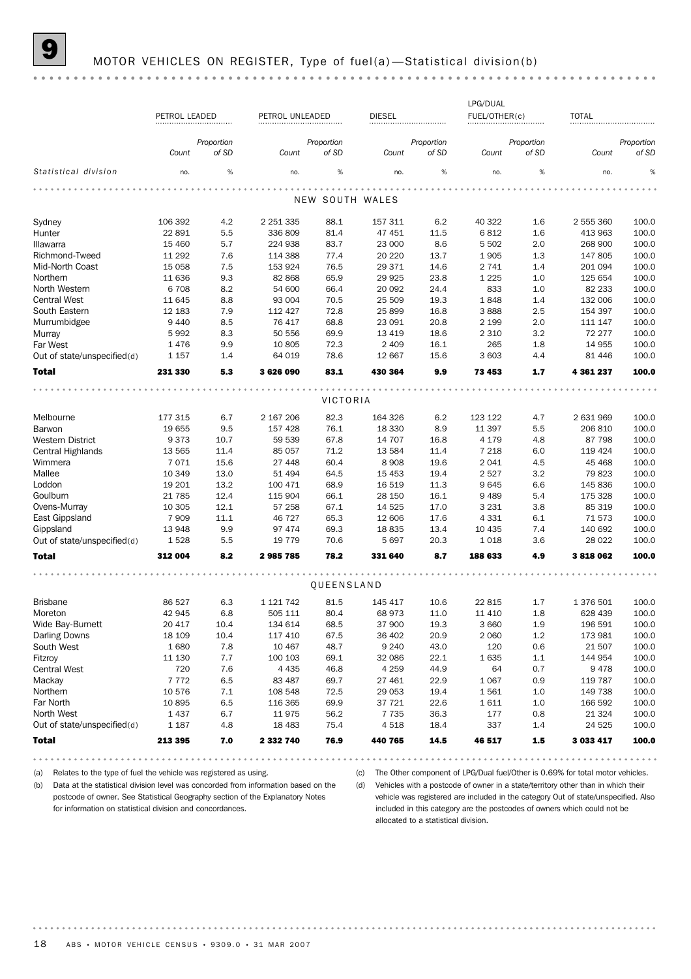## MOTOR VEHICLES ON REGISTER, Type of fuel(a) - Statistical division(b)

|                             |               |            |                 |            |                 |            | LPG/DUAL      |            |              |            |
|-----------------------------|---------------|------------|-----------------|------------|-----------------|------------|---------------|------------|--------------|------------|
|                             | PETROL LEADED |            | PETROL UNLEADED |            | <b>DIESEL</b>   |            | FUEL/OTHER(c) |            | <b>TOTAL</b> |            |
|                             |               |            |                 |            |                 |            |               |            |              |            |
|                             |               | Proportion |                 | Proportion |                 | Proportion |               | Proportion |              | Proportion |
|                             | Count         | of SD      | Count           | of SD      | Count           | of SD      | Count         | of SD      | Count        | of SD      |
| Statistical division        | no.           | %          | no.             | %          | no.             | %          | no.           | $\%$       | no.          |            |
|                             |               |            |                 |            |                 |            |               |            |              |            |
|                             |               |            |                 |            | NEW SOUTH WALES |            |               |            |              |            |
| Sydney                      | 106 392       | 4.2        | 2 2 5 1 3 3 5   | 88.1       | 157 311         | 6.2        | 40 322        | 1.6        | 2 555 360    | 100.0      |
| Hunter                      | 22 891        | 5.5        | 336 809         | 81.4       | 47 451          | 11.5       | 6812          | 1.6        | 413 963      | 100.0      |
| Illawarra                   | 15 4 60       | 5.7        | 224 938         | 83.7       | 23 000          | 8.6        | 5 5 0 2       | 2.0        | 268 900      | 100.0      |
| Richmond-Tweed              | 11 292        | 7.6        | 114 388         | 77.4       | 20 220          | 13.7       | 1905          | 1.3        | 147 805      | 100.0      |
| Mid-North Coast             | 15 0 58       | 7.5        | 153 924         | 76.5       | 29 371          | 14.6       | 2 7 4 1       | 1.4        | 201 094      | 100.0      |
| Northern                    | 11 636        | 9.3        | 82 868          | 65.9       | 29 9 25         | 23.8       | 1 2 2 5       | 1.0        | 125 654      | 100.0      |
| North Western               | 6708          | 8.2        | 54 600          | 66.4       | 20 092          | 24.4       | 833           | 1.0        | 82 233       | 100.0      |
| <b>Central West</b>         | 11 645        | 8.8        | 93 004          | 70.5       | 25 509          | 19.3       | 1848          | 1.4        | 132 006      | 100.0      |
| South Eastern               | 12 183        | 7.9        | 112 427         | 72.8       | 25 899          | 16.8       | 3888          | 2.5        | 154 397      | 100.0      |
| Murrumbidgee                | 9 4 4 0       | 8.5        | 76 417          | 68.8       | 23 091          | 20.8       | 2 1 9 9       | 2.0        | 111 147      | 100.0      |
| Murray                      | 5992          | 8.3        | 50 556          | 69.9       | 13 4 19         | 18.6       | 2 3 1 0       | 3.2        | 72 277       | 100.0      |
| Far West                    | 1476          | 9.9        | 10 805          | 72.3       | 2 4 0 9         | 16.1       | 265           | 1.8        | 14 955       | 100.0      |
| Out of state/unspecified(d) | 1 1 5 7       | 1.4        | 64 019          | 78.6       | 12 667          | 15.6       | 3 603         | 4.4        | 81 44 6      | 100.0      |
| <b>Total</b>                | 231 330       | 5.3        | 3626090         | 83.1       | 430 364         | 9.9        | 73 453        | 1.7        | 4 361 237    | 100.0      |
|                             |               |            |                 |            |                 |            |               |            |              |            |
|                             |               |            |                 | VICTORIA   |                 |            |               |            |              |            |
| Melbourne                   | 177 315       | 6.7        | 2 167 206       | 82.3       | 164 326         | 6.2        | 123 122       | 4.7        | 2 631 969    | 100.0      |
| Barwon                      | 19 655        | 9.5        | 157 428         | 76.1       | 18 3 30         | 8.9        | 11 397        | 5.5        | 206 810      | 100.0      |
| Western District            | 9373          | 10.7       | 59 539          | 67.8       | 14 707          | 16.8       | 4 1 7 9       | 4.8        | 87 798       | 100.0      |
| Central Highlands           | 13 5 65       | 11.4       | 85 057          | 71.2       | 13 584          | 11.4       | 7 2 1 8       | 6.0        | 119 424      | 100.0      |
| Wimmera                     | 7071          | 15.6       | 27 448          | 60.4       | 8 9 0 8         | 19.6       | 2 0 4 1       | 4.5        | 45 4 68      | 100.0      |
| Mallee                      | 10 349        | 13.0       | 51 494          | 64.5       | 15 4 53         | 19.4       | 2 5 2 7       | 3.2        | 79 823       | 100.0      |
| Loddon                      | 19 201        | 13.2       | 100 471         | 68.9       | 16 519          | 11.3       | 9645          | 6.6        | 145 836      | 100.0      |
| Goulburn                    | 21 7 8 5      | 12.4       | 115 904         | 66.1       | 28 150          | 16.1       | 9 4 8 9       | 5.4        | 175 328      | 100.0      |
| Ovens-Murray                | 10 305        | 12.1       | 57 258          | 67.1       | 14 5 25         | 17.0       | 3 2 3 1       | 3.8        | 85 319       | 100.0      |
| East Gippsland              | 7909          | 11.1       | 46 727          | 65.3       | 12 606          | 17.6       | 4 3 3 1       | 6.1        | 71 573       | 100.0      |
| Gippsland                   | 13948         | 9.9        | 97 474          | 69.3       | 18835           | 13.4       | 10 4 35       | 7.4        | 140 692      | 100.0      |
| Out of state/unspecified(d) | 1528          | 5.5        | 19 7 79         | 70.6       | 5 6 9 7         | 20.3       | 1018          | 3.6        | 28 0 22      | 100.0      |
| <b>Total</b>                | 312 004       | 8.2        | 2985785         | 78.2       | 331 640         | 8.7        | 188 633       | 4.9        | 3818062      | 100.0      |
|                             |               |            |                 |            |                 |            |               |            |              |            |
|                             |               |            |                 | QUEENSLAND |                 |            |               |            |              |            |
| <b>Brisbane</b>             | 86 527        | 6.3        | 1 1 2 1 7 4 2   | 81.5       | 145 417         | 10.6       | 22 815        | 1.7        | 1 376 501    | 100.0      |
| Moreton                     | 42 945        | 6.8        | 505 111         | 80.4       | 68 973          | 11.0       | 11 410        | 1.8        | 628 439      | 100.0      |
| Wide Bay-Burnett            | 20 417        | 10.4       | 134 614         | 68.5       | 37 900          | 19.3       | 3 6 6 0       | 1.9        | 196 591      | 100.0      |
| <b>Darling Downs</b>        | 18 109        | 10.4       | 117 410         | 67.5       | 36 402          | 20.9       | 2 0 6 0       | $1.2\,$    | 173 981      | 100.0      |
| South West                  | 1680          | 7.8        | 10 467          | 48.7       | 9 2 4 0         | 43.0       | 120           | 0.6        | 21 507       | 100.0      |
| Fitzroy                     | 11 130        | 7.7        | 100 103         | 69.1       | 32 086          | 22.1       | 1635          | 1.1        | 144 954      | 100.0      |
| <b>Central West</b>         | 720           | 7.6        | 4 4 3 5         | 46.8       | 4 2 5 9         | 44.9       | 64            | 0.7        | 9478         | 100.0      |
| Mackay                      | 7772          | 6.5        | 83 487          | 69.7       | 27 461          | 22.9       | 1 0 6 7       | 0.9        | 119 787      | 100.0      |
| Northern                    | 10 576        | 7.1        | 108 548         | 72.5       | 29 053          | 19.4       | 1561          | 1.0        | 149 738      | 100.0      |
| Far North                   | 10895         | 6.5        | 116 365         | 69.9       | 37 721          | 22.6       | 1611          | 1.0        | 166 592      | 100.0      |
| North West                  | 1437          | 6.7        | 11975           | 56.2       | 7 7 3 5         | 36.3       | 177           | 0.8        | 21 3 24      | 100.0      |
| Out of state/unspecified(d) | 1 1 8 7       | 4.8        | 18 4 83         | 75.4       | 4518            | 18.4       | 337           | 1.4        | 24 5 25      | 100.0      |
| <b>Total</b>                | 213 395       | 7.0        | 2 332 740       | 76.9       | 440 765         | 14.5       | 46 517        | $1.5\,$    | 3 033 417    | 100.0      |

(a) Relates to the type of fuel the vehicle was registered as using.

(b) Data at the statistical division level was concorded from information based on the postcode of owner. See Statistical Geography section of the Explanatory Notes for information on statistical division and concordances.

(c) The Other component of LPG/Dual fuel/Other is 0.69% for total motor vehicles.

(d) Vehicles with a postcode of owner in a state/territory other than in which their vehicle was registered are included in the category Out of state/unspecified. Also included in this category are the postcodes of owners which could not be allocated to a statistical division.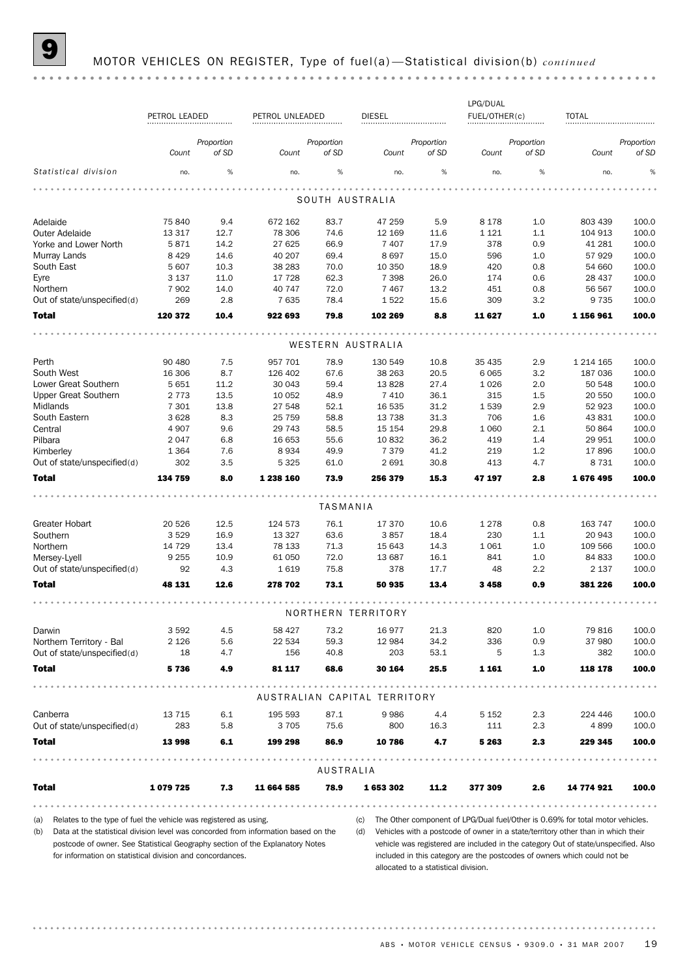|                                                                                                                                                                                                                                                       |                    |              |                   |              |                              |              | LPG/DUAL           |            |                                                                                                                                                                                                                                                             |                |
|-------------------------------------------------------------------------------------------------------------------------------------------------------------------------------------------------------------------------------------------------------|--------------------|--------------|-------------------|--------------|------------------------------|--------------|--------------------|------------|-------------------------------------------------------------------------------------------------------------------------------------------------------------------------------------------------------------------------------------------------------------|----------------|
|                                                                                                                                                                                                                                                       | PETROL LEADED      |              | PETROL UNLEADED   |              | <b>DIESEL</b>                |              | FUEL/OTHER(c)      |            | TOTAL                                                                                                                                                                                                                                                       |                |
|                                                                                                                                                                                                                                                       |                    | Proportion   |                   | Proportion   |                              | Proportion   |                    | Proportion |                                                                                                                                                                                                                                                             | Proportion     |
|                                                                                                                                                                                                                                                       | Count              | of SD        | Count             | of SD        | Count                        | of SD        | Count              | of SD      | Count                                                                                                                                                                                                                                                       | of SD          |
| Statistical division                                                                                                                                                                                                                                  | no.                | %            | no.               | $\%$         | no.                          | %            | no.                | %          | no.                                                                                                                                                                                                                                                         | %              |
|                                                                                                                                                                                                                                                       |                    |              |                   |              | SOUTH AUSTRALIA              |              |                    |            |                                                                                                                                                                                                                                                             |                |
|                                                                                                                                                                                                                                                       |                    |              |                   |              |                              |              |                    |            |                                                                                                                                                                                                                                                             |                |
| Adelaide<br><b>Outer Adelaide</b>                                                                                                                                                                                                                     | 75 840<br>13 3 17  | 9.4<br>12.7  | 672 162<br>78 306 | 83.7<br>74.6 | 47 259<br>12 169             | 5.9<br>11.6  | 8 1 7 8<br>1 1 2 1 | 1.0<br>1.1 | 803 439<br>104 913                                                                                                                                                                                                                                          | 100.0<br>100.0 |
| Yorke and Lower North                                                                                                                                                                                                                                 | 5871               | 14.2         | 27 625            | 66.9         | 7 4 0 7                      | 17.9         | 378                | 0.9        | 41 281                                                                                                                                                                                                                                                      | 100.0          |
| Murray Lands                                                                                                                                                                                                                                          | 8 4 2 9            | 14.6         | 40 20 7           | 69.4         | 8697                         | 15.0         | 596                | 1.0        | 57 929                                                                                                                                                                                                                                                      | 100.0          |
| South East                                                                                                                                                                                                                                            | 5 607              | 10.3         | 38 28 3           | 70.0         | 10 350                       | 18.9         | 420                | 0.8        | 54 660                                                                                                                                                                                                                                                      | 100.0          |
| Eyre                                                                                                                                                                                                                                                  | 3 1 3 7            | 11.0         | 17 728            | 62.3         | 7 3 9 8                      | 26.0         | 174                | 0.6        | 28 437                                                                                                                                                                                                                                                      | 100.0          |
| Northern                                                                                                                                                                                                                                              | 7 9 0 2            | 14.0         | 40 747            | 72.0         | 7 4 6 7                      | 13.2         | 451                | 0.8        | 56 567                                                                                                                                                                                                                                                      | 100.0          |
| Out of state/unspecified(d)                                                                                                                                                                                                                           | 269                | 2.8          | 7635              | 78.4         | 1522                         | 15.6         | 309                | 3.2        | 9 7 3 5                                                                                                                                                                                                                                                     | 100.0          |
| <b>Total</b>                                                                                                                                                                                                                                          | 120 372            | 10.4         | 922 693           | 79.8         | 102 269                      | 8.8          | 11 627             | 1.0        | 1 156 961                                                                                                                                                                                                                                                   | 100.0          |
|                                                                                                                                                                                                                                                       |                    |              |                   |              | WESTERN AUSTRALIA            |              |                    |            |                                                                                                                                                                                                                                                             |                |
|                                                                                                                                                                                                                                                       |                    |              |                   |              |                              |              |                    |            |                                                                                                                                                                                                                                                             |                |
| Perth<br>South West                                                                                                                                                                                                                                   | 90 480             | 7.5          | 957 701           | 78.9         | 130 549                      | 10.8         | 35 4 35            | 2.9        | 1 2 1 4 1 6 5                                                                                                                                                                                                                                               | 100.0<br>100.0 |
| Lower Great Southern                                                                                                                                                                                                                                  | 16 30 6<br>5 6 5 1 | 8.7<br>11.2  | 126 402<br>30 043 | 67.6<br>59.4 | 38 263<br>13828              | 20.5<br>27.4 | 6 0 65<br>1 0 2 6  | 3.2<br>2.0 | 187 036<br>50 548                                                                                                                                                                                                                                           | 100.0          |
| <b>Upper Great Southern</b>                                                                                                                                                                                                                           | 2 7 7 3            | 13.5         | 10 052            | 48.9         | 7410                         | 36.1         | 315                | 1.5        | 20 550                                                                                                                                                                                                                                                      | 100.0          |
| Midlands                                                                                                                                                                                                                                              | 7 3 0 1            | 13.8         | 27 548            | 52.1         | 16 535                       | 31.2         | 1539               | 2.9        | 52 923                                                                                                                                                                                                                                                      | 100.0          |
| South Eastern                                                                                                                                                                                                                                         | 3 6 28             | 8.3          | 25 7 5 9          | 58.8         | 13 7 38                      | 31.3         | 706                | 1.6        | 43 831                                                                                                                                                                                                                                                      | 100.0          |
| Central                                                                                                                                                                                                                                               | 4 9 0 7            | 9.6          | 29 743            | 58.5         | 15 154                       | 29.8         | 1 0 6 0            | 2.1        | 50 864                                                                                                                                                                                                                                                      | 100.0          |
| Pilbara                                                                                                                                                                                                                                               | 2047               | 6.8          | 16 653            | 55.6         | 10 832                       | 36.2         | 419                | 1.4        | 29 951                                                                                                                                                                                                                                                      | 100.0          |
| Kimberley                                                                                                                                                                                                                                             | 1 3 6 4            | 7.6          | 8934              | 49.9         | 7 3 7 9                      | 41.2         | 219                | 1.2        | 17896                                                                                                                                                                                                                                                       | 100.0          |
| Out of state/unspecified(d)                                                                                                                                                                                                                           | 302                | 3.5          | 5 3 2 5           | 61.0         | 2 6 9 1                      | 30.8         | 413                | 4.7        | 8 7 3 1                                                                                                                                                                                                                                                     | 100.0          |
| Total                                                                                                                                                                                                                                                 | 134 759            | 8.0          | 1 238 160         | 73.9         | 256 379                      | 15.3         | 47 197             | 2.8        | 1676495                                                                                                                                                                                                                                                     | 100.0          |
|                                                                                                                                                                                                                                                       |                    |              |                   | TASMANIA     |                              |              |                    |            |                                                                                                                                                                                                                                                             |                |
|                                                                                                                                                                                                                                                       |                    |              |                   |              |                              |              |                    |            |                                                                                                                                                                                                                                                             |                |
| Greater Hobart                                                                                                                                                                                                                                        | 20 5 26            | 12.5         | 124 573           | 76.1         | 17 370                       | 10.6         | 1 2 7 8            | 0.8        | 163 747                                                                                                                                                                                                                                                     | 100.0          |
| Southern<br>Northern                                                                                                                                                                                                                                  | 3529<br>14 729     | 16.9<br>13.4 | 13 3 27<br>78 133 | 63.6<br>71.3 | 3857<br>15 643               | 18.4<br>14.3 | 230<br>1 0 6 1     | 1.1<br>1.0 | 20 943<br>109 566                                                                                                                                                                                                                                           | 100.0<br>100.0 |
| Mersey-Lyell                                                                                                                                                                                                                                          | 9 2 5 5            | 10.9         | 61 050            | 72.0         | 13 687                       | 16.1         | 841                | 1.0        | 84 833                                                                                                                                                                                                                                                      | 100.0          |
| Out of state/unspecified(d)                                                                                                                                                                                                                           | 92                 | 4.3          | 1619              | 75.8         | 378                          | 17.7         | 48                 | 2.2        | 2 1 3 7                                                                                                                                                                                                                                                     | 100.0          |
| <b>Total</b>                                                                                                                                                                                                                                          | 48 131             | 12.6         | 278 702           | 73.1         | 50 935                       | 13.4         | 3458               | 0.9        | 381 226                                                                                                                                                                                                                                                     | 100.0          |
|                                                                                                                                                                                                                                                       |                    |              |                   |              |                              |              |                    |            |                                                                                                                                                                                                                                                             |                |
|                                                                                                                                                                                                                                                       |                    |              |                   |              | NORTHERN TERRITORY           |              |                    |            |                                                                                                                                                                                                                                                             |                |
| Darwin                                                                                                                                                                                                                                                | 3592               | 4.5          | 58 427            | 73.2         | 16977                        | 21.3         | 820                | 1.0        | 79 816                                                                                                                                                                                                                                                      | 100.0          |
| Northern Territory - Bal                                                                                                                                                                                                                              | 2 1 2 6            | 5.6          | 22 534            | 59.3         | 12 984                       | 34.2         | 336                | 0.9        | 37 980                                                                                                                                                                                                                                                      | 100.0          |
| Out of state/unspecified(d)                                                                                                                                                                                                                           | 18                 | 4.7          | 156               | 40.8         | 203                          | 53.1         | 5                  | 1.3        | 382                                                                                                                                                                                                                                                         | 100.0          |
| <b>Total</b>                                                                                                                                                                                                                                          | 5736               | 4.9          | 81 117            | 68.6         | 30 164                       | 25.5         | 1 1 6 1            | 1.0        | 118 178                                                                                                                                                                                                                                                     | 100.0          |
|                                                                                                                                                                                                                                                       |                    |              |                   |              | AUSTRALIAN CAPITAL TERRITORY |              |                    |            |                                                                                                                                                                                                                                                             |                |
| Canberra                                                                                                                                                                                                                                              | 13 7 15            | 6.1          | 195 593           | 87.1         | 9986                         | 4.4          | 5 152              | 2.3        | 224 446                                                                                                                                                                                                                                                     | 100.0          |
| Out of state/unspecified(d)                                                                                                                                                                                                                           | 283                | 5.8          | 3705              | 75.6         | 800                          | 16.3         | 111                | 2.3        | 4899                                                                                                                                                                                                                                                        | 100.0          |
| <b>Total</b>                                                                                                                                                                                                                                          | 13 998             | 6.1          | 199 298           | 86.9         | 10 786                       | 4.7          | 5 2 6 3            | 2.3        | 229 345                                                                                                                                                                                                                                                     | 100.0          |
|                                                                                                                                                                                                                                                       |                    |              |                   | AUSTRALIA    |                              |              |                    |            |                                                                                                                                                                                                                                                             |                |
| <b>Total</b>                                                                                                                                                                                                                                          | 1079725            | 7.3          | 11 664 585        | 78.9         | 1653302                      | 11.2         | 377 309            | 2.6        | 14 774 921                                                                                                                                                                                                                                                  | 100.0          |
|                                                                                                                                                                                                                                                       |                    |              |                   |              |                              |              |                    |            |                                                                                                                                                                                                                                                             |                |
| Relates to the type of fuel the vehicle was registered as using.<br>(a)<br>Data at the statistical division level was concorded from information based on the<br>(b)<br>postcode of owner. See Statistical Geography section of the Explanatory Notes |                    |              |                   |              | (c)                          |              |                    |            | The Other component of LPG/Dual fuel/Other is 0.69% for total motor vehicles.<br>(d) Vehicles with a postcode of owner in a state/territory other than in which their<br>vehicle was registered are included in the category Out of state/unspecified. Also |                |

for information on statistical division and concordances.

vehicle was registered are included in the category Out of state/unspecified. Also included in this category are the postcodes of owners which could not be allocated to a statistical division.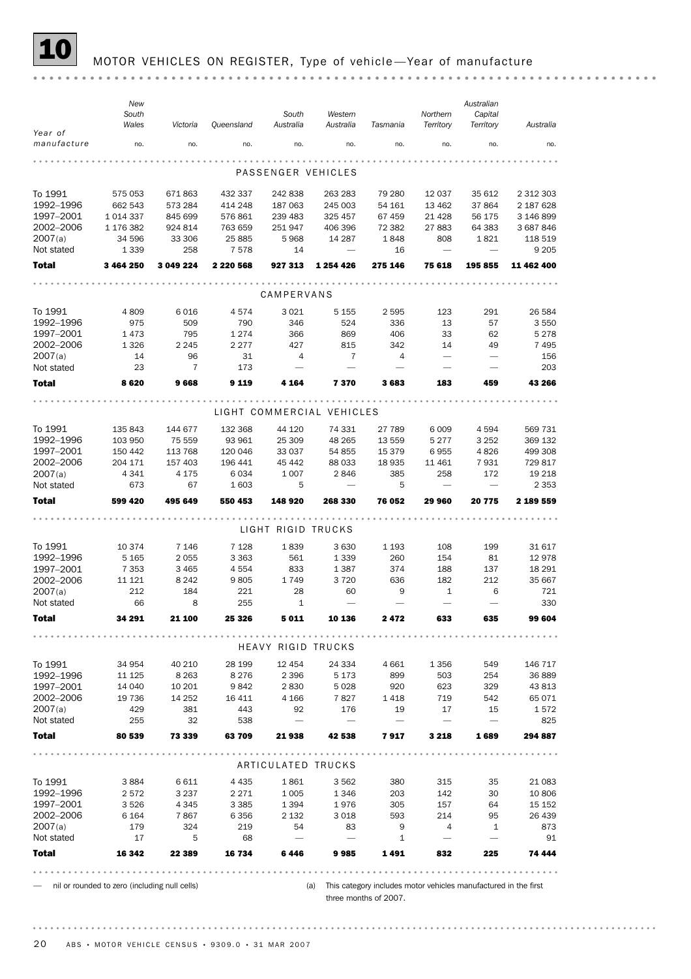

#### MOTOR VEHICLES ON REGISTER, Type of vehicle-Year of manufacture

three months of 2007.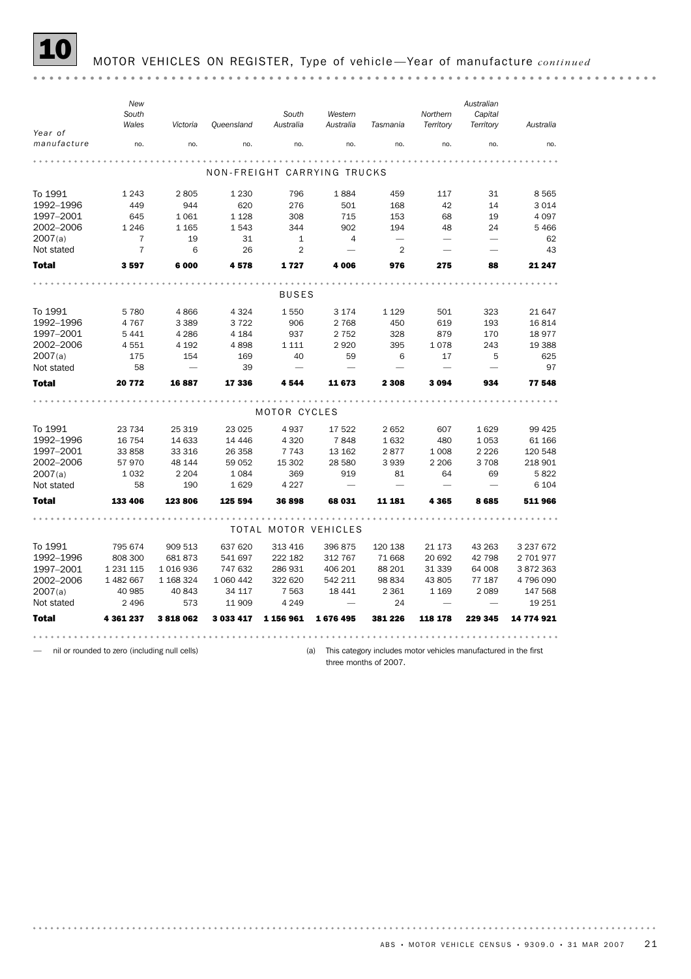

#### 10 MOTOR VEHICLES ON REGISTER, Type of vehicle —Year of manufacture *continued*

— nil or rounded to zero (including null cells)

(a) This category includes motor vehicles manufactured in the first

three months of 2007.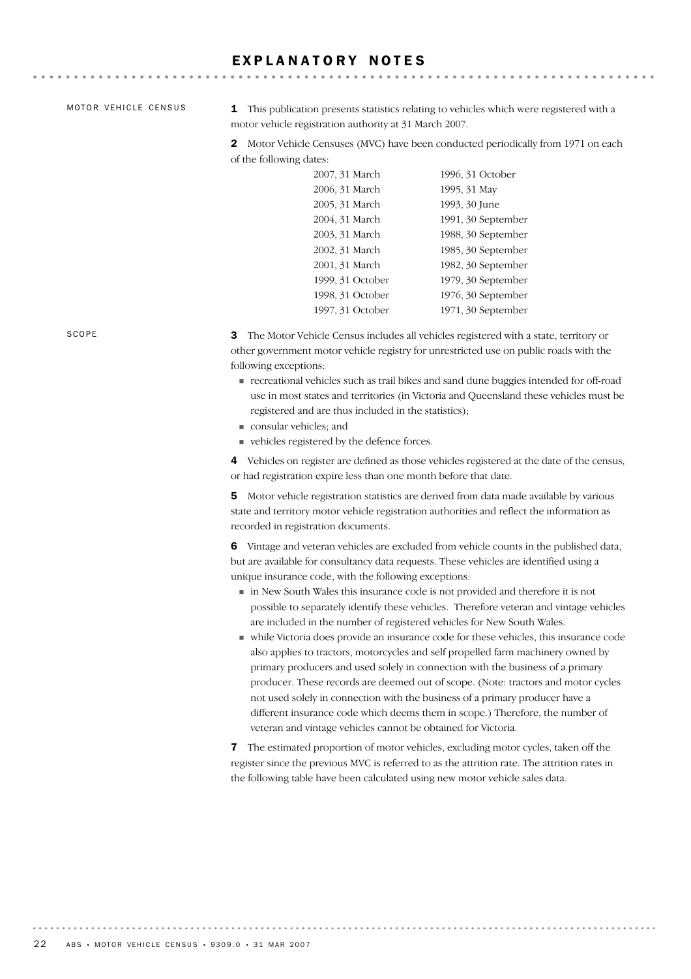## EXPLANATORY NOTES

MOTOR VEHICLE CENSUS

1 This publication presents statistics relating to vehicles which were registered with a motor vehicle registration authority at 31 March 2007.

2 Motor Vehicle Censuses (MVC) have been conducted periodically from 1971 on each of the following dates:

| 2007, 31 March   | 1996, 31 October   |
|------------------|--------------------|
| 2006, 31 March   | 1995, 31 May       |
| 2005, 31 March   | 1993, 30 June      |
| 2004, 31 March   | 1991, 30 September |
| 2003, 31 March   | 1988, 30 September |
| 2002, 31 March   | 1985, 30 September |
| 2001, 31 March   | 1982, 30 September |
| 1999, 31 October | 1979, 30 September |
| 1998, 31 October | 1976, 30 September |
| 1997, 31 October | 1971, 30 September |

3 The Motor Vehicle Census includes all vehicles registered with a state, territory or other government motor vehicle registry for unrestricted use on public roads with the following exceptions:

- ! recreational vehicles such as trail bikes and sand dune buggies intended for off-road use in most states and territories (in Victoria and Queensland these vehicles must be registered and are thus included in the statistics);
- ! consular vehicles; and
- ! vehicles registered by the defence forces.

4 Vehicles on register are defined as those vehicles registered at the date of the census, or had registration expire less than one month before that date.

5 Motor vehicle registration statistics are derived from data made available by various state and territory motor vehicle registration authorities and reflect the information as recorded in registration documents.

6 Vintage and veteran vehicles are excluded from vehicle counts in the published data, but are available for consultancy data requests. These vehicles are identified using a unique insurance code, with the following exceptions:

- ! in New South Wales this insurance code is not provided and therefore it is not possible to separately identify these vehicles. Therefore veteran and vintage vehicles are included in the number of registered vehicles for New South Wales.
- ! while Victoria does provide an insurance code for these vehicles, this insurance code also applies to tractors, motorcycles and self propelled farm machinery owned by primary producers and used solely in connection with the business of a primary producer. These records are deemed out of scope. (Note: tractors and motor cycles not used solely in connection with the business of a primary producer have a different insurance code which deems them in scope.) Therefore, the number of veteran and vintage vehicles cannot be obtained for Victoria.

7 The estimated proportion of motor vehicles, excluding motor cycles, taken off the register since the previous MVC is referred to as the attrition rate. The attrition rates in the following table have been calculated using new motor vehicle sales data.

SCOPE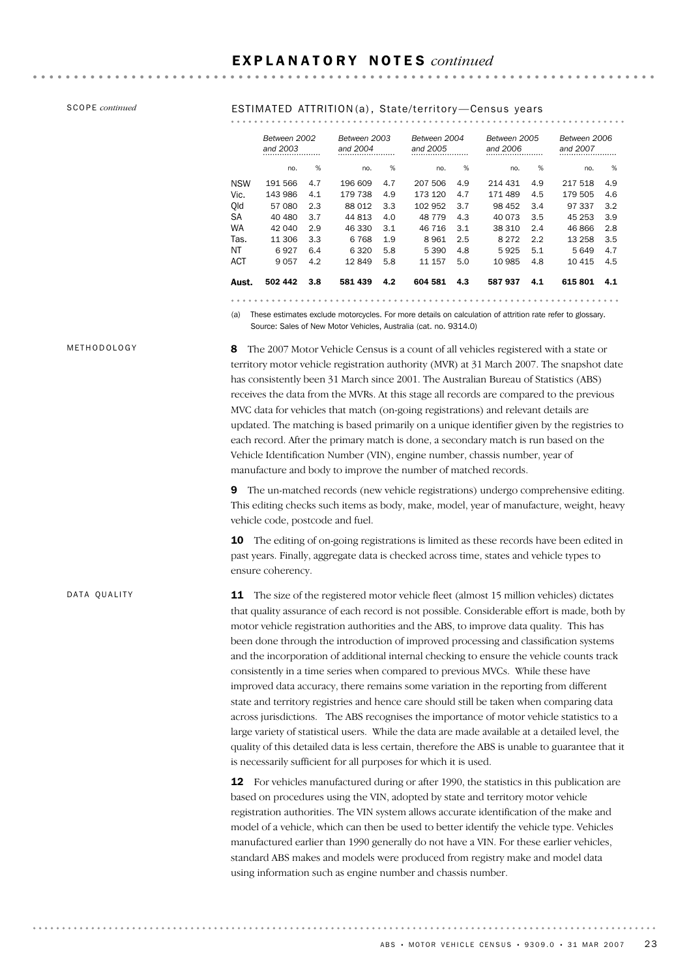## SCOPE *continued* **ESTIMATED ATTRITION**(a), State/territory-Census years

|            | Between 2002<br>and 2003 |     | Between 2003<br>and 2004 |     | Between 2004<br>and 2005 |     | Between 2005<br>and 2006 |     | Between 2006<br>and 2007 |     |
|------------|--------------------------|-----|--------------------------|-----|--------------------------|-----|--------------------------|-----|--------------------------|-----|
|            | no.                      | %   | no.                      | %   | no.                      | %   | no.                      | %   | no.                      | %   |
| <b>NSW</b> | 191 566                  | 4.7 | 196 609                  | 4.7 | 207 506                  | 4.9 | 214 431                  | 4.9 | 217 518                  | 4.9 |
| Vic.       | 143 986                  | 4.1 | 179 738                  | 4.9 | 173 120                  | 4.7 | 171 489                  | 4.5 | 179 505                  | 4.6 |
| Qld        | 57 080                   | 2.3 | 88 012                   | 3.3 | 102 952                  | 3.7 | 98 452                   | 3.4 | 97 337                   | 3.2 |
| <b>SA</b>  | 40 480                   | 3.7 | 44 813                   | 4.0 | 48 7 7 9                 | 4.3 | 40 073                   | 3.5 | 45 253                   | 3.9 |
| <b>WA</b>  | 42 040                   | 2.9 | 46 330                   | 3.1 | 46 716                   | 3.1 | 38 310                   | 2.4 | 46 866                   | 2.8 |
| Tas.       | 11 306                   | 3.3 | 6 7 6 8                  | 1.9 | 8961                     | 2.5 | 8 2 7 2                  | 2.2 | 13 258                   | 3.5 |
| NT         | 6927                     | 6.4 | 6320                     | 5.8 | 5 3 9 0                  | 4.8 | 5925                     | 5.1 | 5649                     | 4.7 |
| <b>ACT</b> | 9057                     | 4.2 | 12849                    | 5.8 | 11 157                   | 5.0 | 10 985                   | 4.8 | 10 4 15                  | 4.5 |
| Aust.      | 502 442                  | 3.8 | 581 439                  | 4.2 | 604 581                  | 4.3 | 587937                   | 4.1 | 615 801                  | 4.1 |

(a) These estimates exclude motorcycles. For more details on calculation of attrition rate refer to glossary. Source: Sales of New Motor Vehicles, Australia (cat. no. 9314.0)

#### METHODOLOGY

8 The 2007 Motor Vehicle Census is a count of all vehicles registered with a state or territory motor vehicle registration authority (MVR) at 31 March 2007. The snapshot date has consistently been 31 March since 2001. The Australian Bureau of Statistics (ABS) receives the data from the MVRs. At this stage all records are compared to the previous MVC data for vehicles that match (on-going registrations) and relevant details are updated. The matching is based primarily on a unique identifier given by the registries to each record. After the primary match is done, a secondary match is run based on the Vehicle Identification Number (VIN), engine number, chassis number, year of manufacture and body to improve the number of matched records.

9 The un-matched records (new vehicle registrations) undergo comprehensive editing. This editing checks such items as body, make, model, year of manufacture, weight, heavy vehicle code, postcode and fuel.

10 The editing of on-going registrations is limited as these records have been edited in past years. Finally, aggregate data is checked across time, states and vehicle types to ensure coherency.

DATA QUALITY

**11** The size of the registered motor vehicle fleet (almost 15 million vehicles) dictates that quality assurance of each record is not possible. Considerable effort is made, both by motor vehicle registration authorities and the ABS, to improve data quality. This has been done through the introduction of improved processing and classification systems and the incorporation of additional internal checking to ensure the vehicle counts track consistently in a time series when compared to previous MVCs. While these have improved data accuracy, there remains some variation in the reporting from different state and territory registries and hence care should still be taken when comparing data across jurisdictions. The ABS recognises the importance of motor vehicle statistics to a large variety of statistical users. While the data are made available at a detailed level, the quality of this detailed data is less certain, therefore the ABS is unable to guarantee that it is necessarily sufficient for all purposes for which it is used.

12 For vehicles manufactured during or after 1990, the statistics in this publication are based on procedures using the VIN, adopted by state and territory motor vehicle registration authorities. The VIN system allows accurate identification of the make and model of a vehicle, which can then be used to better identify the vehicle type. Vehicles manufactured earlier than 1990 generally do not have a VIN. For these earlier vehicles, standard ABS makes and models were produced from registry make and model data using information such as engine number and chassis number.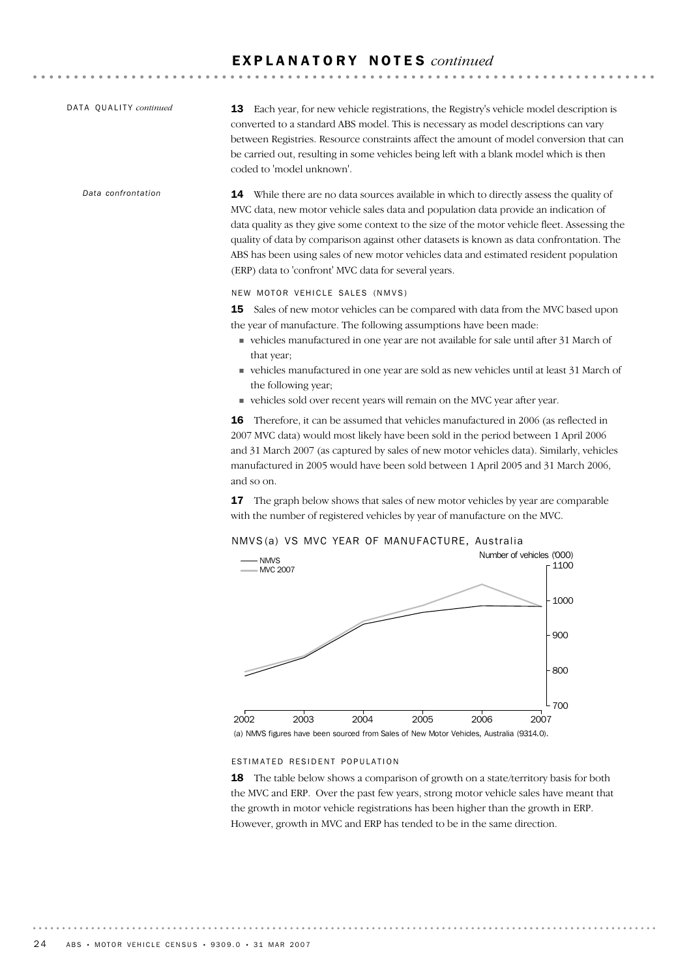. . . . . . . . .

| DATA QUALITY continued | Each year, for new vehicle registrations, the Registry's vehicle model description is<br>13<br>converted to a standard ABS model. This is necessary as model descriptions can vary<br>between Registries. Resource constraints affect the amount of model conversion that can<br>be carried out, resulting in some vehicles being left with a blank model which is then<br>coded to 'model unknown'.                                                                                                                               |  |  |  |  |  |  |
|------------------------|------------------------------------------------------------------------------------------------------------------------------------------------------------------------------------------------------------------------------------------------------------------------------------------------------------------------------------------------------------------------------------------------------------------------------------------------------------------------------------------------------------------------------------|--|--|--|--|--|--|
| Data confrontation     | <b>14</b> While there are no data sources available in which to directly assess the quality of<br>MVC data, new motor vehicle sales data and population data provide an indication of<br>data quality as they give some context to the size of the motor vehicle fleet. Assessing the<br>quality of data by comparison against other datasets is known as data confrontation. The<br>ABS has been using sales of new motor vehicles data and estimated resident population<br>(ERP) data to 'confront' MVC data for several years. |  |  |  |  |  |  |
|                        | NEW MOTOR VEHICLE SALES (NMVS)                                                                                                                                                                                                                                                                                                                                                                                                                                                                                                     |  |  |  |  |  |  |
|                        | Sales of new motor vehicles can be compared with data from the MVC based upon<br>15<br>the year of manufacture. The following assumptions have been made:<br>vehicles manufactured in one year are not available for sale until after 31 March of                                                                                                                                                                                                                                                                                  |  |  |  |  |  |  |
|                        | that year:<br>vehicles manufactured in one year are sold as new vehicles until at least 31 March of<br>the following year;<br>vehicles sold over recent years will remain on the MVC year after year.                                                                                                                                                                                                                                                                                                                              |  |  |  |  |  |  |
|                        | Therefore, it can be assumed that vehicles manufactured in 2006 (as reflected in<br>16<br>2007 MVC data) would most likely have been sold in the period between 1 April 2006<br>and 31 March 2007 (as captured by sales of new motor vehicles data). Similarly, vehicles                                                                                                                                                                                                                                                           |  |  |  |  |  |  |

and so on. 17 The graph below shows that sales of new motor vehicles by year are comparable with the number of registered vehicles by year of manufacture on the MVC.

manufactured in 2005 would have been sold between 1 April 2005 and 31 March 2006,





### ESTIMATED RESIDENT POPULATION

18 The table below shows a comparison of growth on a state/territory basis for both the MVC and ERP. Over the past few years, strong motor vehicle sales have meant that the growth in motor vehicle registrations has been higher than the growth in ERP. However, growth in MVC and ERP has tended to be in the same direction.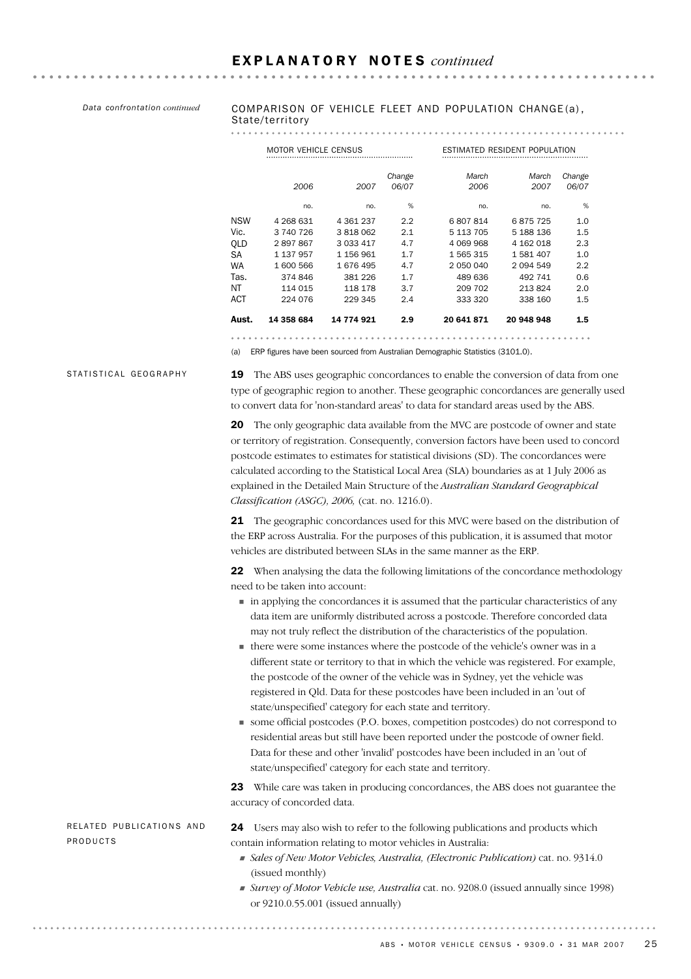*Data confrontation continued*

#### COMPARISON OF VEHICLE FLEET AND POPULATION CHANGE (a) , State/territory

#### 

|            | <b>MOTOR VEHICLE CENSUS</b> |             |                 | ESTIMATED RESIDENT POPULATION |               |                 |  |  |
|------------|-----------------------------|-------------|-----------------|-------------------------------|---------------|-----------------|--|--|
|            | 2006                        | 2007        | Change<br>06/07 | March<br>2006                 | March<br>2007 | Change<br>06/07 |  |  |
|            | no.                         | no.         | %               | no.                           | no.           | %               |  |  |
| <b>NSW</b> | 4 268 631                   | 4 361 237   | 2.2             | 6807814                       | 6875725       | 1.0             |  |  |
| Vic.       | 3 740 726                   | 3 818 062   | 2.1             | 5 113 705                     | 5 188 136     | $1.5\,$         |  |  |
| OLD        | 2897867                     | 3 0 3 4 1 7 | 4.7             | 4 069 968                     | 4 162 018     | 2.3             |  |  |
| SA         | 1 137 957                   | 1 156 961   | 1.7             | 1 565 315                     | 1581407       | 1.0             |  |  |
| WA         | 1 600 566                   | 1676495     | 4.7             | 2 050 040                     | 2 0 9 4 5 4 9 | 2.2             |  |  |
| Tas.       | 374 846                     | 381 226     | 1.7             | 489 636                       | 492 741       | 0.6             |  |  |
| ΝT         | 114 015                     | 118 178     | 3.7             | 209 702                       | 213824        | 2.0             |  |  |
| АСТ        | 224 076                     | 229 345     | 2.4             | 333 320                       | 338 160       | 1.5             |  |  |
| Aust.      | 14 358 684                  | 14 774 921  | 2.9             | 20 641 871                    | 20 948 948    | 1.5             |  |  |

(a) ERP figures have been sourced from Australian Demographic Statistics (3101.0).

STATISTICAL GEOGRAPHY

19 The ABS uses geographic concordances to enable the conversion of data from one type of geographic region to another. These geographic concordances are generally used to convert data for 'non-standard areas' to data for standard areas used by the ABS.

20 The only geographic data available from the MVC are postcode of owner and state or territory of registration. Consequently, conversion factors have been used to concord postcode estimates to estimates for statistical divisions (SD). The concordances were calculated according to the Statistical Local Area (SLA) boundaries as at 1 July 2006 as explained in the Detailed Main Structure of the *Australian Standard Geographical Classification (ASGC), 2006,* (cat. no. 1216.0).

21 The geographic concordances used for this MVC were based on the distribution of the ERP across Australia. For the purposes of this publication, it is assumed that motor vehicles are distributed between SLAs in the same manner as the ERP.

22 When analysing the data the following limitations of the concordance methodology need to be taken into account:

- ! in applying the concordances it is assumed that the particular characteristics of any data item are uniformly distributed across a postcode. Therefore concorded data may not truly reflect the distribution of the characteristics of the population.
- ! there were some instances where the postcode of the vehicle's owner was in a different state or territory to that in which the vehicle was registered. For example, the postcode of the owner of the vehicle was in Sydney, yet the vehicle was registered in Qld. Data for these postcodes have been included in an 'out of state/unspecified' category for each state and territory.
- ! some official postcodes (P.O. boxes, competition postcodes) do not correspond to residential areas but still have been reported under the postcode of owner field. Data for these and other 'invalid' postcodes have been included in an 'out of state/unspecified' category for each state and territory.

23 While care was taken in producing concordances, the ABS does not guarantee the accuracy of concorded data.

RELATED PUBLICATIONS AND PRODUCTS

24 Users may also wish to refer to the following publications and products which contain information relating to motor vehicles in Australia:

- ! *Sales of New Motor Vehicles, Australia, (Electronic Publication)* cat. no. 9314.0 (issued monthly)
- ! *Survey of Motor Vehicle use, Australia* cat. no. 9208.0 (issued annually since 1998) or 9210.0.55.001 (issued annually)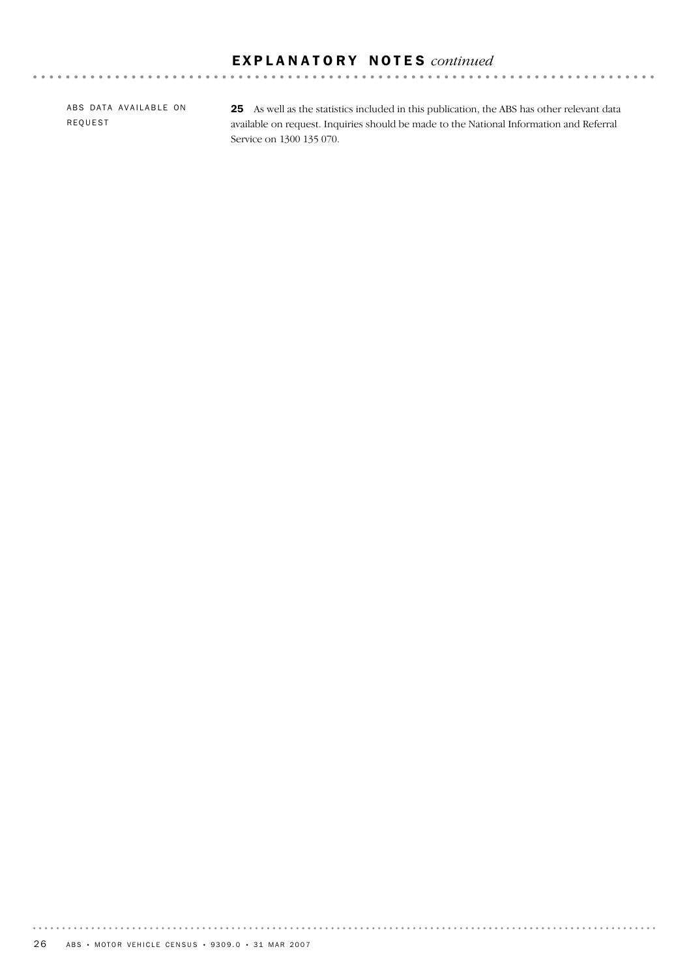ABS DATA AVAILABLE ON REQUEST

25 As well as the statistics included in this publication, the ABS has other relevant data available on request. Inquiries should be made to the National Information and Referral Service on 1300 135 070.

. . . . . . . . .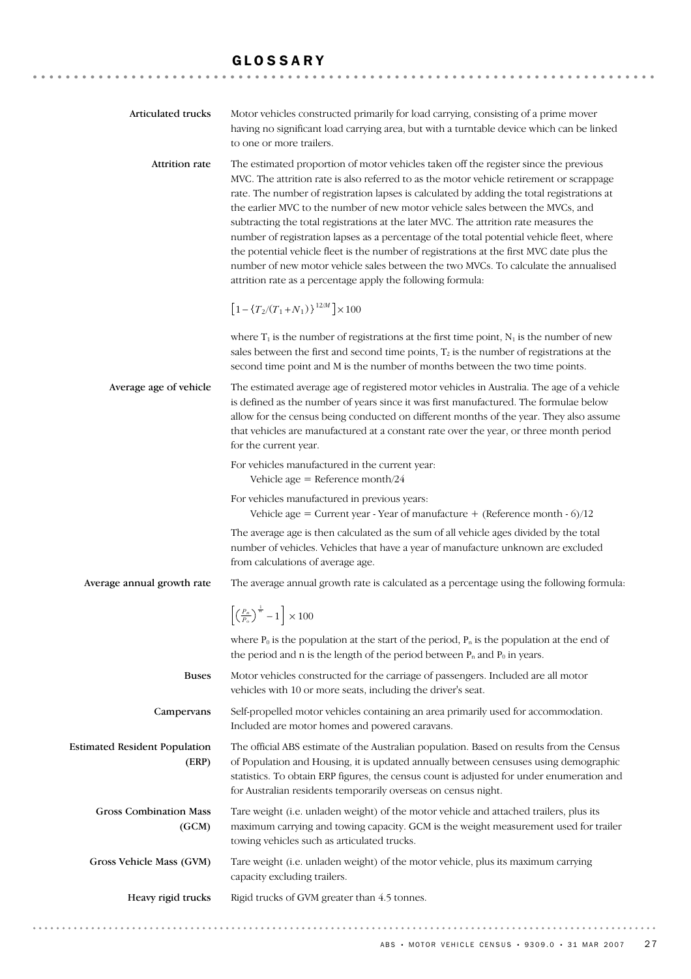## GLOSSARY

| Articulated trucks                            | Motor vehicles constructed primarily for load carrying, consisting of a prime mover<br>having no significant load carrying area, but with a turntable device which can be linked<br>to one or more trailers.                                                                                                                                                                                                                                                                                                                                                                                                                                                                                                                                                                                              |  |  |  |
|-----------------------------------------------|-----------------------------------------------------------------------------------------------------------------------------------------------------------------------------------------------------------------------------------------------------------------------------------------------------------------------------------------------------------------------------------------------------------------------------------------------------------------------------------------------------------------------------------------------------------------------------------------------------------------------------------------------------------------------------------------------------------------------------------------------------------------------------------------------------------|--|--|--|
| Attrition rate                                | The estimated proportion of motor vehicles taken off the register since the previous<br>MVC. The attrition rate is also referred to as the motor vehicle retirement or scrappage<br>rate. The number of registration lapses is calculated by adding the total registrations at<br>the earlier MVC to the number of new motor vehicle sales between the MVCs, and<br>subtracting the total registrations at the later MVC. The attrition rate measures the<br>number of registration lapses as a percentage of the total potential vehicle fleet, where<br>the potential vehicle fleet is the number of registrations at the first MVC date plus the<br>number of new motor vehicle sales between the two MVCs. To calculate the annualised<br>attrition rate as a percentage apply the following formula: |  |  |  |
|                                               | $\left[1-\left\{T_2/(T_1+N_1)\right\}^{12/M}\right]\times 100$                                                                                                                                                                                                                                                                                                                                                                                                                                                                                                                                                                                                                                                                                                                                            |  |  |  |
|                                               | where $T_1$ is the number of registrations at the first time point, $N_1$ is the number of new<br>sales between the first and second time points, $T_2$ is the number of registrations at the<br>second time point and M is the number of months between the two time points.                                                                                                                                                                                                                                                                                                                                                                                                                                                                                                                             |  |  |  |
| Average age of vehicle                        | The estimated average age of registered motor vehicles in Australia. The age of a vehicle<br>is defined as the number of years since it was first manufactured. The formulae below<br>allow for the census being conducted on different months of the year. They also assume<br>that vehicles are manufactured at a constant rate over the year, or three month period<br>for the current year.                                                                                                                                                                                                                                                                                                                                                                                                           |  |  |  |
|                                               | For vehicles manufactured in the current year:<br>Vehicle age = Reference month/24                                                                                                                                                                                                                                                                                                                                                                                                                                                                                                                                                                                                                                                                                                                        |  |  |  |
|                                               | For vehicles manufactured in previous years:<br>Vehicle age = Current year - Year of manufacture + (Reference month - $6$ )/12                                                                                                                                                                                                                                                                                                                                                                                                                                                                                                                                                                                                                                                                            |  |  |  |
|                                               | The average age is then calculated as the sum of all vehicle ages divided by the total<br>number of vehicles. Vehicles that have a year of manufacture unknown are excluded<br>from calculations of average age.                                                                                                                                                                                                                                                                                                                                                                                                                                                                                                                                                                                          |  |  |  |
| Average annual growth rate                    | The average annual growth rate is calculated as a percentage using the following formula:                                                                                                                                                                                                                                                                                                                                                                                                                                                                                                                                                                                                                                                                                                                 |  |  |  |
|                                               | $\left[\left(\frac{P_n}{P_o}\right)^{\frac{1}{n}}-1\right]\times 100$                                                                                                                                                                                                                                                                                                                                                                                                                                                                                                                                                                                                                                                                                                                                     |  |  |  |
|                                               | where $P_0$ is the population at the start of the period, $P_n$ is the population at the end of<br>the period and n is the length of the period between $P_n$ and $P_0$ in years.                                                                                                                                                                                                                                                                                                                                                                                                                                                                                                                                                                                                                         |  |  |  |
| <b>Buses</b>                                  | Motor vehicles constructed for the carriage of passengers. Included are all motor<br>vehicles with 10 or more seats, including the driver's seat.                                                                                                                                                                                                                                                                                                                                                                                                                                                                                                                                                                                                                                                         |  |  |  |
| Campervans                                    | Self-propelled motor vehicles containing an area primarily used for accommodation.<br>Included are motor homes and powered caravans.                                                                                                                                                                                                                                                                                                                                                                                                                                                                                                                                                                                                                                                                      |  |  |  |
| <b>Estimated Resident Population</b><br>(ERP) | The official ABS estimate of the Australian population. Based on results from the Census<br>of Population and Housing, it is updated annually between censuses using demographic<br>statistics. To obtain ERP figures, the census count is adjusted for under enumeration and<br>for Australian residents temporarily overseas on census night.                                                                                                                                                                                                                                                                                                                                                                                                                                                           |  |  |  |
| <b>Gross Combination Mass</b><br>(GCM)        | Tare weight (i.e. unladen weight) of the motor vehicle and attached trailers, plus its<br>maximum carrying and towing capacity. GCM is the weight measurement used for trailer<br>towing vehicles such as articulated trucks.                                                                                                                                                                                                                                                                                                                                                                                                                                                                                                                                                                             |  |  |  |
| Gross Vehicle Mass (GVM)                      | Tare weight (i.e. unladen weight) of the motor vehicle, plus its maximum carrying<br>capacity excluding trailers.                                                                                                                                                                                                                                                                                                                                                                                                                                                                                                                                                                                                                                                                                         |  |  |  |
| Heavy rigid trucks                            | Rigid trucks of GVM greater than 4.5 tonnes.                                                                                                                                                                                                                                                                                                                                                                                                                                                                                                                                                                                                                                                                                                                                                              |  |  |  |
|                                               |                                                                                                                                                                                                                                                                                                                                                                                                                                                                                                                                                                                                                                                                                                                                                                                                           |  |  |  |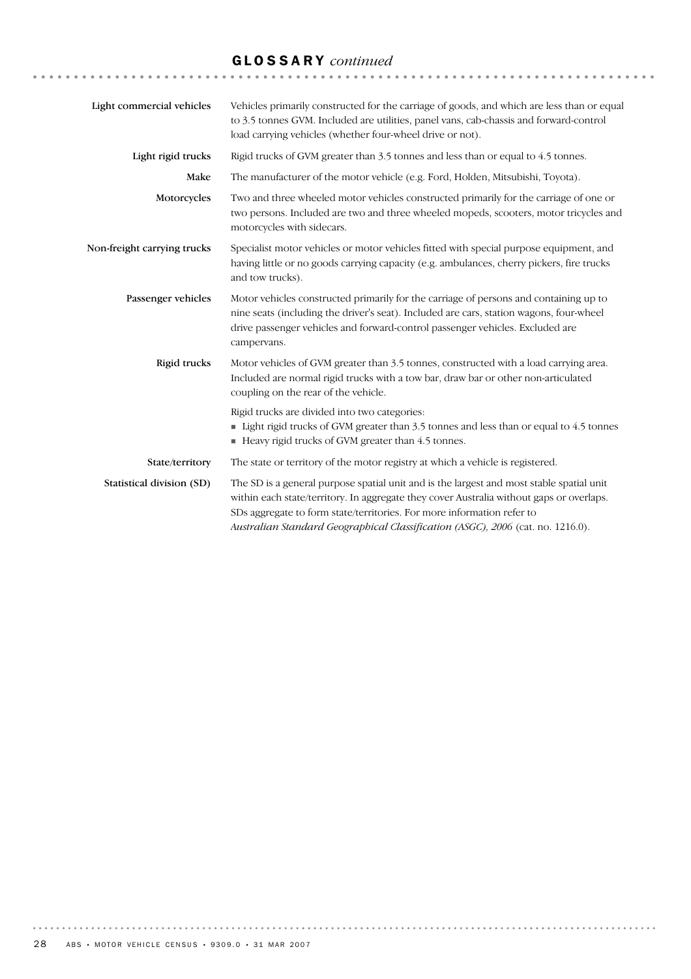# GLOSSARY *continued*

| Light commercial vehicles   | Vehicles primarily constructed for the carriage of goods, and which are less than or equal<br>to 3.5 tonnes GVM. Included are utilities, panel vans, cab-chassis and forward-control<br>load carrying vehicles (whether four-wheel drive or not).                                                                                                 |
|-----------------------------|---------------------------------------------------------------------------------------------------------------------------------------------------------------------------------------------------------------------------------------------------------------------------------------------------------------------------------------------------|
| Light rigid trucks          | Rigid trucks of GVM greater than 3.5 tonnes and less than or equal to 4.5 tonnes.                                                                                                                                                                                                                                                                 |
| Make                        | The manufacturer of the motor vehicle (e.g. Ford, Holden, Mitsubishi, Toyota).                                                                                                                                                                                                                                                                    |
| Motorcycles                 | Two and three wheeled motor vehicles constructed primarily for the carriage of one or<br>two persons. Included are two and three wheeled mopeds, scooters, motor tricycles and<br>motorcycles with sidecars.                                                                                                                                      |
| Non-freight carrying trucks | Specialist motor vehicles or motor vehicles fitted with special purpose equipment, and<br>having little or no goods carrying capacity (e.g. ambulances, cherry pickers, fire trucks<br>and tow trucks).                                                                                                                                           |
| Passenger vehicles          | Motor vehicles constructed primarily for the carriage of persons and containing up to<br>nine seats (including the driver's seat). Included are cars, station wagons, four-wheel<br>drive passenger vehicles and forward-control passenger vehicles. Excluded are<br>campervans.                                                                  |
| Rigid trucks                | Motor vehicles of GVM greater than 3.5 tonnes, constructed with a load carrying area.<br>Included are normal rigid trucks with a tow bar, draw bar or other non-articulated<br>coupling on the rear of the vehicle.                                                                                                                               |
|                             | Rigid trucks are divided into two categories:<br>• Light rigid trucks of GVM greater than 3.5 tonnes and less than or equal to 4.5 tonnes<br>Heavy rigid trucks of GVM greater than 4.5 tonnes.                                                                                                                                                   |
| State/territory             | The state or territory of the motor registry at which a vehicle is registered.                                                                                                                                                                                                                                                                    |
| Statistical division (SD)   | The SD is a general purpose spatial unit and is the largest and most stable spatial unit<br>within each state/territory. In aggregate they cover Australia without gaps or overlaps.<br>SDs aggregate to form state/territories. For more information refer to<br>Australian Standard Geographical Classification (ASGC), 2006 (cat. no. 1216.0). |